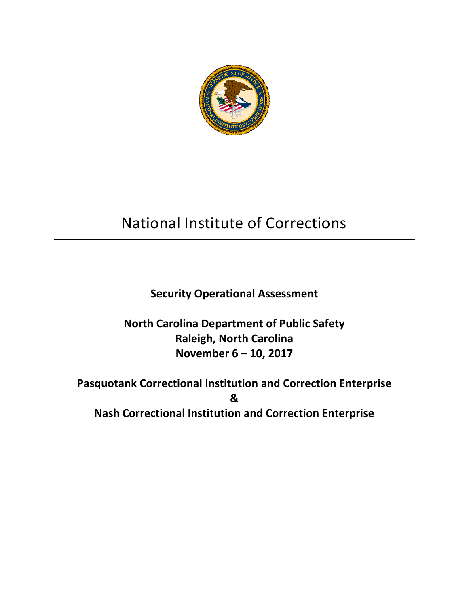

# National Institute of Corrections

# **Security Operational Assessment**

# **North Carolina Department of Public Safety Raleigh, North Carolina November 6 – 10, 2017**

# **Pasquotank Correctional Institution and Correction Enterprise & Nash Correctional Institution and Correction Enterprise**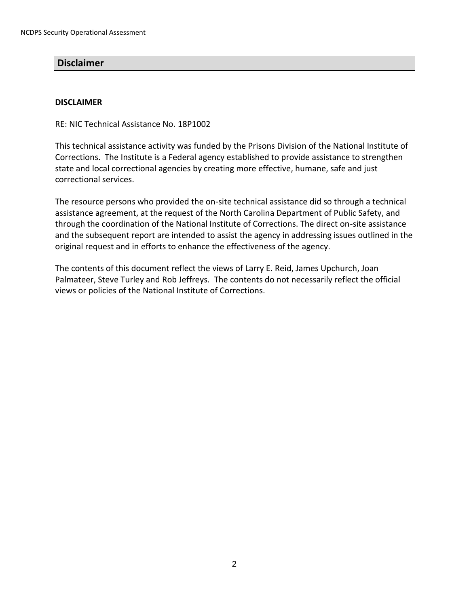# <span id="page-1-0"></span>**Disclaimer**

#### **DISCLAIMER**

RE: NIC Technical Assistance No. 18P1002

This technical assistance activity was funded by the Prisons Division of the National Institute of Corrections. The Institute is a Federal agency established to provide assistance to strengthen state and local correctional agencies by creating more effective, humane, safe and just correctional services.

The resource persons who provided the on-site technical assistance did so through a technical assistance agreement, at the request of the North Carolina Department of Public Safety, and through the coordination of the National Institute of Corrections. The direct on-site assistance and the subsequent report are intended to assist the agency in addressing issues outlined in the original request and in efforts to enhance the effectiveness of the agency.

The contents of this document reflect the views of Larry E. Reid, James Upchurch, Joan Palmateer, Steve Turley and Rob Jeffreys. The contents do not necessarily reflect the official views or policies of the National Institute of Corrections.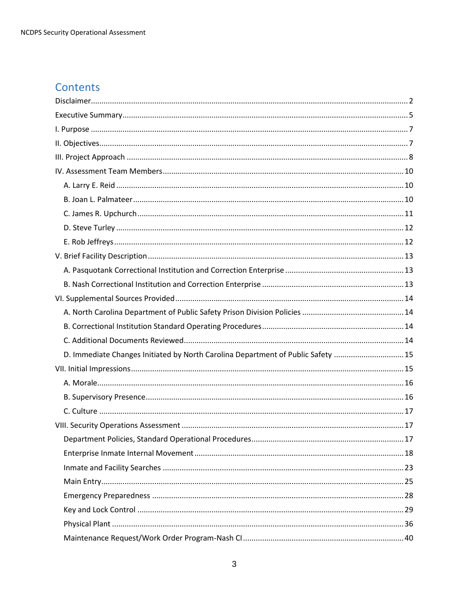# Contents

| D. Immediate Changes Initiated by North Carolina Department of Public Safety  15 |  |
|----------------------------------------------------------------------------------|--|
|                                                                                  |  |
|                                                                                  |  |
|                                                                                  |  |
|                                                                                  |  |
|                                                                                  |  |
|                                                                                  |  |
|                                                                                  |  |
|                                                                                  |  |
|                                                                                  |  |
|                                                                                  |  |
|                                                                                  |  |
|                                                                                  |  |
|                                                                                  |  |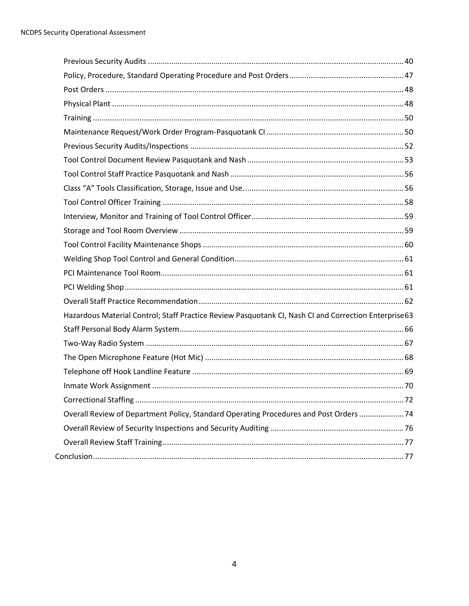| Hazardous Material Control; Staff Practice Review Pasquotank CI, Nash CI and Correction Enterprise63 |  |
|------------------------------------------------------------------------------------------------------|--|
|                                                                                                      |  |
|                                                                                                      |  |
|                                                                                                      |  |
|                                                                                                      |  |
|                                                                                                      |  |
|                                                                                                      |  |
| Overall Review of Department Policy, Standard Operating Procedures and Post Orders  74               |  |
|                                                                                                      |  |
|                                                                                                      |  |
|                                                                                                      |  |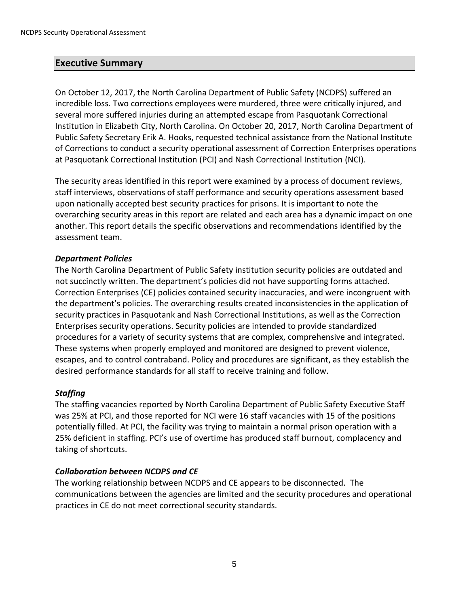# <span id="page-4-0"></span>**Executive Summary**

On October 12, 2017, the North Carolina Department of Public Safety (NCDPS) suffered an incredible loss. Two corrections employees were murdered, three were critically injured, and several more suffered injuries during an attempted escape from Pasquotank Correctional Institution in Elizabeth City, North Carolina. On October 20, 2017, North Carolina Department of Public Safety Secretary Erik A. Hooks, requested technical assistance from the National Institute of Corrections to conduct a security operational assessment of Correction Enterprises operations at Pasquotank Correctional Institution (PCI) and Nash Correctional Institution (NCI).

The security areas identified in this report were examined by a process of document reviews, staff interviews, observations of staff performance and security operations assessment based upon nationally accepted best security practices for prisons. It is important to note the overarching security areas in this report are related and each area has a dynamic impact on one another. This report details the specific observations and recommendations identified by the assessment team.

#### *Department Policies*

The North Carolina Department of Public Safety institution security policies are outdated and not succinctly written. The department's policies did not have supporting forms attached. Correction Enterprises (CE) policies contained security inaccuracies, and were incongruent with the department's policies. The overarching results created inconsistencies in the application of security practices in Pasquotank and Nash Correctional Institutions, as well as the Correction Enterprises security operations. Security policies are intended to provide standardized procedures for a variety of security systems that are complex, comprehensive and integrated. These systems when properly employed and monitored are designed to prevent violence, escapes, and to control contraband. Policy and procedures are significant, as they establish the desired performance standards for all staff to receive training and follow.

# *Staffing*

The staffing vacancies reported by North Carolina Department of Public Safety Executive Staff was 25% at PCI, and those reported for NCI were 16 staff vacancies with 15 of the positions potentially filled. At PCI, the facility was trying to maintain a normal prison operation with a 25% deficient in staffing. PCI's use of overtime has produced staff burnout, complacency and taking of shortcuts.

# *Collaboration between NCDPS and CE*

The working relationship between NCDPS and CE appears to be disconnected. The communications between the agencies are limited and the security procedures and operational practices in CE do not meet correctional security standards.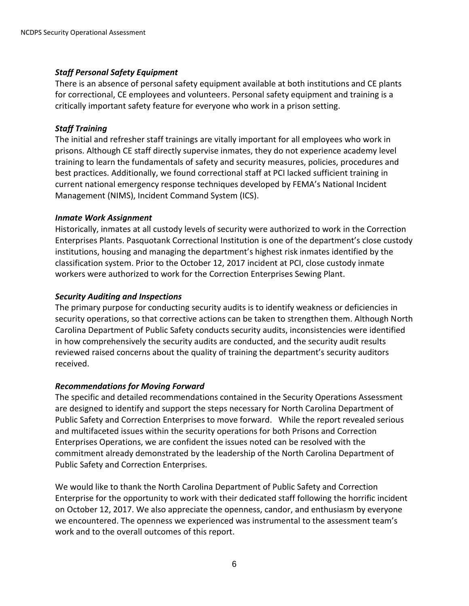# *Staff Personal Safety Equipment*

There is an absence of personal safety equipment available at both institutions and CE plants for correctional, CE employees and volunteers. Personal safety equipment and training is a critically important safety feature for everyone who work in a prison setting.

# *Staff Training*

The initial and refresher staff trainings are vitally important for all employees who work in prisons. Although CE staff directly supervise inmates, they do not experience academy level training to learn the fundamentals of safety and security measures, policies, procedures and best practices. Additionally, we found correctional staff at PCI lacked sufficient training in current national emergency response techniques developed by FEMA's National Incident Management (NIMS), Incident Command System (ICS).

#### *Inmate Work Assignment*

Historically, inmates at all custody levels of security were authorized to work in the Correction Enterprises Plants. Pasquotank Correctional Institution is one of the department's close custody institutions, housing and managing the department's highest risk inmates identified by the classification system. Prior to the October 12, 2017 incident at PCI, close custody inmate workers were authorized to work for the Correction Enterprises Sewing Plant.

#### *Security Auditing and Inspections*

The primary purpose for conducting security audits is to identify weakness or deficiencies in security operations, so that corrective actions can be taken to strengthen them. Although North Carolina Department of Public Safety conducts security audits, inconsistencies were identified in how comprehensively the security audits are conducted, and the security audit results reviewed raised concerns about the quality of training the department's security auditors received.

# *Recommendations for Moving Forward*

The specific and detailed recommendations contained in the Security Operations Assessment are designed to identify and support the steps necessary for North Carolina Department of Public Safety and Correction Enterprises to move forward. While the report revealed serious and multifaceted issues within the security operations for both Prisons and Correction Enterprises Operations, we are confident the issues noted can be resolved with the commitment already demonstrated by the leadership of the North Carolina Department of Public Safety and Correction Enterprises.

We would like to thank the North Carolina Department of Public Safety and Correction Enterprise for the opportunity to work with their dedicated staff following the horrific incident on October 12, 2017. We also appreciate the openness, candor, and enthusiasm by everyone we encountered. The openness we experienced was instrumental to the assessment team's work and to the overall outcomes of this report.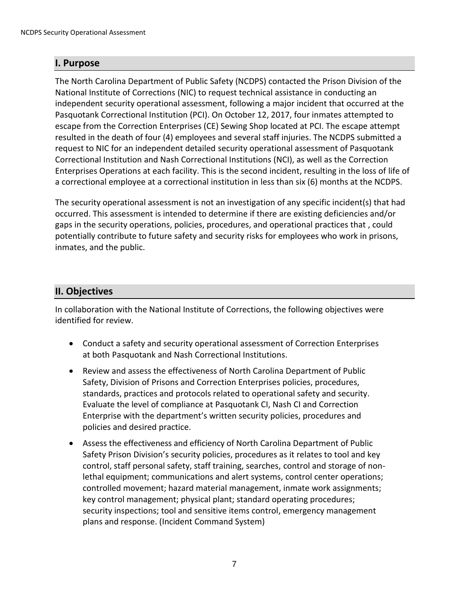# <span id="page-6-0"></span>**I. Purpose**

The North Carolina Department of Public Safety (NCDPS) contacted the Prison Division of the National Institute of Corrections (NIC) to request technical assistance in conducting an independent security operational assessment, following a major incident that occurred at the Pasquotank Correctional Institution (PCI). On October 12, 2017, four inmates attempted to escape from the Correction Enterprises (CE) Sewing Shop located at PCI. The escape attempt resulted in the death of four (4) employees and several staff injuries. The NCDPS submitted a request to NIC for an independent detailed security operational assessment of Pasquotank Correctional Institution and Nash Correctional Institutions (NCI), as well as the Correction Enterprises Operations at each facility. This is the second incident, resulting in the loss of life of a correctional employee at a correctional institution in less than six (6) months at the NCDPS.

The security operational assessment is not an investigation of any specific incident(s) that had occurred. This assessment is intended to determine if there are existing deficiencies and/or gaps in the security operations, policies, procedures, and operational practices that , could potentially contribute to future safety and security risks for employees who work in prisons, inmates, and the public.

# <span id="page-6-1"></span>**II. Objectives**

In collaboration with the National Institute of Corrections, the following objectives were identified for review.

- Conduct a safety and security operational assessment of Correction Enterprises at both Pasquotank and Nash Correctional Institutions.
- Review and assess the effectiveness of North Carolina Department of Public Safety, Division of Prisons and Correction Enterprises policies, procedures, standards, practices and protocols related to operational safety and security. Evaluate the level of compliance at Pasquotank CI, Nash CI and Correction Enterprise with the department's written security policies, procedures and policies and desired practice.
- Assess the effectiveness and efficiency of North Carolina Department of Public Safety Prison Division's security policies, procedures as it relates to tool and key control, staff personal safety, staff training, searches, control and storage of nonlethal equipment; communications and alert systems, control center operations; controlled movement; hazard material management, inmate work assignments; key control management; physical plant; standard operating procedures; security inspections; tool and sensitive items control, emergency management plans and response. (Incident Command System)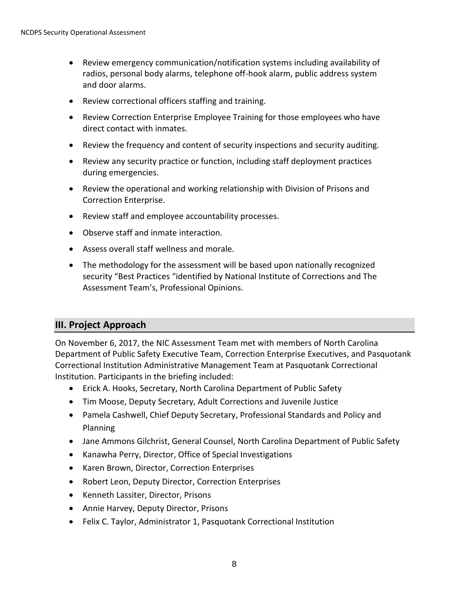- Review emergency communication/notification systems including availability of radios, personal body alarms, telephone off-hook alarm, public address system and door alarms.
- Review correctional officers staffing and training.
- Review Correction Enterprise Employee Training for those employees who have direct contact with inmates.
- Review the frequency and content of security inspections and security auditing.
- Review any security practice or function, including staff deployment practices during emergencies.
- Review the operational and working relationship with Division of Prisons and Correction Enterprise.
- Review staff and employee accountability processes.
- Observe staff and inmate interaction.
- Assess overall staff wellness and morale.
- The methodology for the assessment will be based upon nationally recognized security "Best Practices "identified by National Institute of Corrections and The Assessment Team's, Professional Opinions.

# <span id="page-7-0"></span>**III. Project Approach**

On November 6, 2017, the NIC Assessment Team met with members of North Carolina Department of Public Safety Executive Team, Correction Enterprise Executives, and Pasquotank Correctional Institution Administrative Management Team at Pasquotank Correctional Institution. Participants in the briefing included:

- Erick A. Hooks, Secretary, North Carolina Department of Public Safety
- Tim Moose, Deputy Secretary, Adult Corrections and Juvenile Justice
- Pamela Cashwell, Chief Deputy Secretary, Professional Standards and Policy and Planning
- Jane Ammons Gilchrist, General Counsel, North Carolina Department of Public Safety
- Kanawha Perry, Director, Office of Special Investigations
- Karen Brown, Director, Correction Enterprises
- Robert Leon, Deputy Director, Correction Enterprises
- Kenneth Lassiter, Director, Prisons
- Annie Harvey, Deputy Director, Prisons
- Felix C. Taylor, Administrator 1, Pasquotank Correctional Institution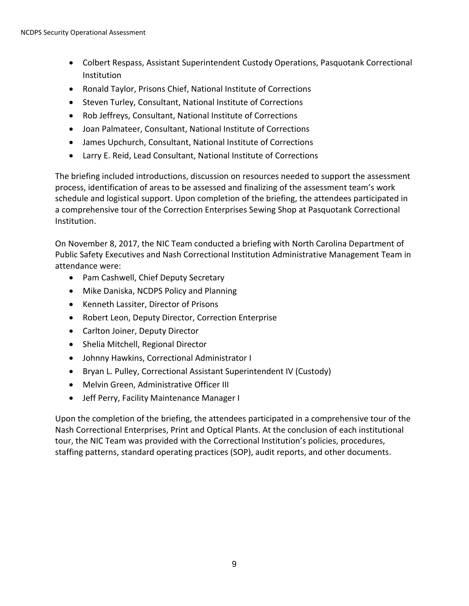- Colbert Respass, Assistant Superintendent Custody Operations, Pasquotank Correctional Institution
- Ronald Taylor, Prisons Chief, National Institute of Corrections
- Steven Turley, Consultant, National Institute of Corrections
- Rob Jeffreys, Consultant, National Institute of Corrections
- Joan Palmateer, Consultant, National Institute of Corrections
- James Upchurch, Consultant, National Institute of Corrections
- Larry E. Reid, Lead Consultant, National Institute of Corrections

The briefing included introductions, discussion on resources needed to support the assessment process, identification of areas to be assessed and finalizing of the assessment team's work schedule and logistical support. Upon completion of the briefing, the attendees participated in a comprehensive tour of the Correction Enterprises Sewing Shop at Pasquotank Correctional Institution.

On November 8, 2017, the NIC Team conducted a briefing with North Carolina Department of Public Safety Executives and Nash Correctional Institution Administrative Management Team in attendance were:

- Pam Cashwell, Chief Deputy Secretary
- Mike Daniska, NCDPS Policy and Planning
- Kenneth Lassiter, Director of Prisons
- Robert Leon, Deputy Director, Correction Enterprise
- Carlton Joiner, Deputy Director
- Shelia Mitchell, Regional Director
- Johnny Hawkins, Correctional Administrator I
- Bryan L. Pulley, Correctional Assistant Superintendent IV (Custody)
- Melvin Green, Administrative Officer III
- Jeff Perry, Facility Maintenance Manager I

Upon the completion of the briefing, the attendees participated in a comprehensive tour of the Nash Correctional Enterprises, Print and Optical Plants. At the conclusion of each institutional tour, the NIC Team was provided with the Correctional Institution's policies, procedures, staffing patterns, standard operating practices (SOP), audit reports, and other documents.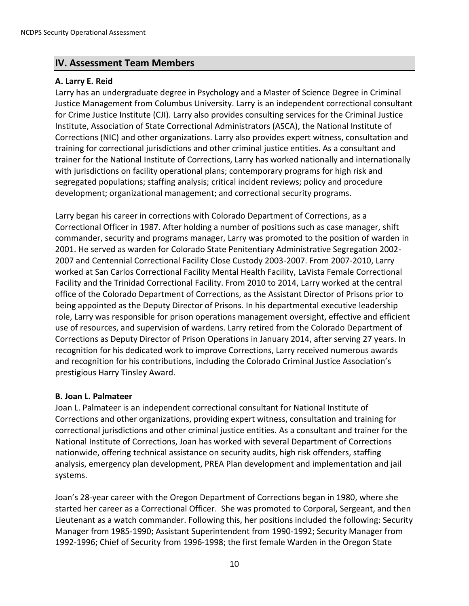# <span id="page-9-0"></span>**IV. Assessment Team Members**

# <span id="page-9-1"></span>**A. Larry E. Reid**

Larry has an undergraduate degree in Psychology and a Master of Science Degree in Criminal Justice Management from Columbus University. Larry is an independent correctional consultant for Crime Justice Institute (CJI). Larry also provides consulting services for the Criminal Justice Institute, Association of State Correctional Administrators (ASCA), the National Institute of Corrections (NIC) and other organizations. Larry also provides expert witness, consultation and training for correctional jurisdictions and other criminal justice entities. As a consultant and trainer for the National Institute of Corrections, Larry has worked nationally and internationally with jurisdictions on facility operational plans; contemporary programs for high risk and segregated populations; staffing analysis; critical incident reviews; policy and procedure development; organizational management; and correctional security programs.

Larry began his career in corrections with Colorado Department of Corrections, as a Correctional Officer in 1987. After holding a number of positions such as case manager, shift commander, security and programs manager, Larry was promoted to the position of warden in 2001. He served as warden for Colorado State Penitentiary Administrative Segregation 2002- 2007 and Centennial Correctional Facility Close Custody 2003-2007. From 2007-2010, Larry worked at San Carlos Correctional Facility Mental Health Facility, LaVista Female Correctional Facility and the Trinidad Correctional Facility. From 2010 to 2014, Larry worked at the central office of the Colorado Department of Corrections, as the Assistant Director of Prisons prior to being appointed as the Deputy Director of Prisons. In his departmental executive leadership role, Larry was responsible for prison operations management oversight, effective and efficient use of resources, and supervision of wardens. Larry retired from the Colorado Department of Corrections as Deputy Director of Prison Operations in January 2014, after serving 27 years. In recognition for his dedicated work to improve Corrections, Larry received numerous awards and recognition for his contributions, including the Colorado Criminal Justice Association's prestigious Harry Tinsley Award.

#### <span id="page-9-2"></span>**B. Joan L. Palmateer**

Joan L. Palmateer is an independent correctional consultant for National Institute of Corrections and other organizations, providing expert witness, consultation and training for correctional jurisdictions and other criminal justice entities. As a consultant and trainer for the National Institute of Corrections, Joan has worked with several Department of Corrections nationwide, offering technical assistance on security audits, high risk offenders, staffing analysis, emergency plan development, PREA Plan development and implementation and jail systems.

Joan's 28-year career with the Oregon Department of Corrections began in 1980, where she started her career as a Correctional Officer. She was promoted to Corporal, Sergeant, and then Lieutenant as a watch commander. Following this, her positions included the following: Security Manager from 1985-1990; Assistant Superintendent from 1990-1992; Security Manager from 1992-1996; Chief of Security from 1996-1998; the first female Warden in the Oregon State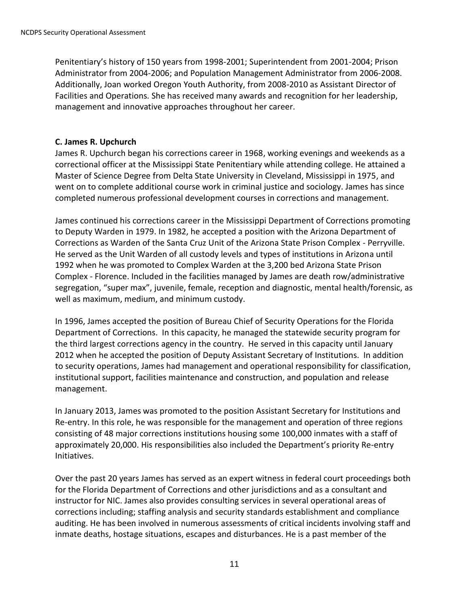Penitentiary's history of 150 years from 1998-2001; Superintendent from 2001-2004; Prison Administrator from 2004-2006; and Population Management Administrator from 2006-2008. Additionally, Joan worked Oregon Youth Authority, from 2008-2010 as Assistant Director of Facilities and Operations. She has received many awards and recognition for her leadership, management and innovative approaches throughout her career.

#### <span id="page-10-0"></span>**C. James R. Upchurch**

James R. Upchurch began his corrections career in 1968, working evenings and weekends as a correctional officer at the Mississippi State Penitentiary while attending college. He attained a Master of Science Degree from Delta State University in Cleveland, Mississippi in 1975, and went on to complete additional course work in criminal justice and sociology. James has since completed numerous professional development courses in corrections and management.

James continued his corrections career in the Mississippi Department of Corrections promoting to Deputy Warden in 1979. In 1982, he accepted a position with the Arizona Department of Corrections as Warden of the Santa Cruz Unit of the Arizona State Prison Complex - Perryville. He served as the Unit Warden of all custody levels and types of institutions in Arizona until 1992 when he was promoted to Complex Warden at the 3,200 bed Arizona State Prison Complex - Florence. Included in the facilities managed by James are death row/administrative segregation, "super max", juvenile, female, reception and diagnostic, mental health/forensic, as well as maximum, medium, and minimum custody.

In 1996, James accepted the position of Bureau Chief of Security Operations for the Florida Department of Corrections. In this capacity, he managed the statewide security program for the third largest corrections agency in the country. He served in this capacity until January 2012 when he accepted the position of Deputy Assistant Secretary of Institutions. In addition to security operations, James had management and operational responsibility for classification, institutional support, facilities maintenance and construction, and population and release management.

In January 2013, James was promoted to the position Assistant Secretary for Institutions and Re-entry. In this role, he was responsible for the management and operation of three regions consisting of 48 major corrections institutions housing some 100,000 inmates with a staff of approximately 20,000. His responsibilities also included the Department's priority Re-entry Initiatives.

Over the past 20 years James has served as an expert witness in federal court proceedings both for the Florida Department of Corrections and other jurisdictions and as a consultant and instructor for NIC. James also provides consulting services in several operational areas of corrections including; staffing analysis and security standards establishment and compliance auditing. He has been involved in numerous assessments of critical incidents involving staff and inmate deaths, hostage situations, escapes and disturbances. He is a past member of the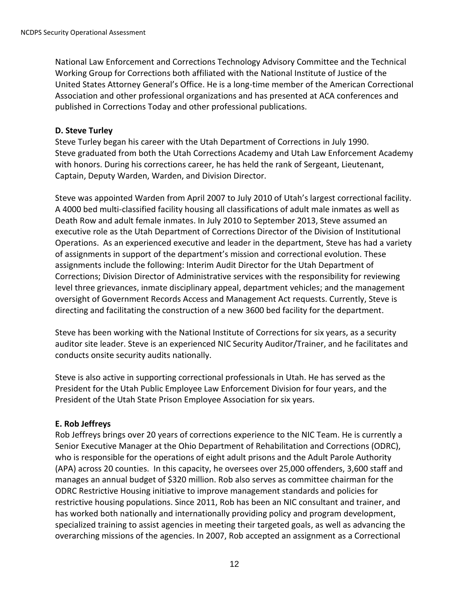National Law Enforcement and Corrections Technology Advisory Committee and the Technical Working Group for Corrections both affiliated with the National Institute of Justice of the United States Attorney General's Office. He is a long-time member of the American Correctional Association and other professional organizations and has presented at ACA conferences and published in Corrections Today and other professional publications.

# <span id="page-11-0"></span>**D. Steve Turley**

Steve Turley began his career with the Utah Department of Corrections in July 1990. Steve graduated from both the Utah Corrections Academy and Utah Law Enforcement Academy with honors. During his corrections career, he has held the rank of Sergeant, Lieutenant, Captain, Deputy Warden, Warden, and Division Director.

Steve was appointed Warden from April 2007 to July 2010 of Utah's largest correctional facility. A 4000 bed multi-classified facility housing all classifications of adult male inmates as well as Death Row and adult female inmates. In July 2010 to September 2013, Steve assumed an executive role as the Utah Department of Corrections Director of the Division of Institutional Operations. As an experienced executive and leader in the department, Steve has had a variety of assignments in support of the department's mission and correctional evolution. These assignments include the following: Interim Audit Director for the Utah Department of Corrections; Division Director of Administrative services with the responsibility for reviewing level three grievances, inmate disciplinary appeal, department vehicles; and the management oversight of Government Records Access and Management Act requests. Currently, Steve is directing and facilitating the construction of a new 3600 bed facility for the department.

Steve has been working with the National Institute of Corrections for six years, as a security auditor site leader. Steve is an experienced NIC Security Auditor/Trainer, and he facilitates and conducts onsite security audits nationally.

Steve is also active in supporting correctional professionals in Utah. He has served as the President for the Utah Public Employee Law Enforcement Division for four years, and the President of the Utah State Prison Employee Association for six years.

# <span id="page-11-1"></span>**E. Rob Jeffreys**

Rob Jeffreys brings over 20 years of corrections experience to the NIC Team. He is currently a Senior Executive Manager at the Ohio Department of Rehabilitation and Corrections (ODRC), who is responsible for the operations of eight adult prisons and the Adult Parole Authority (APA) across 20 counties. In this capacity, he oversees over 25,000 offenders, 3,600 staff and manages an annual budget of \$320 million. Rob also serves as committee chairman for the ODRC Restrictive Housing initiative to improve management standards and policies for restrictive housing populations. Since 2011, Rob has been an NIC consultant and trainer, and has worked both nationally and internationally providing policy and program development, specialized training to assist agencies in meeting their targeted goals, as well as advancing the overarching missions of the agencies. In 2007, Rob accepted an assignment as a Correctional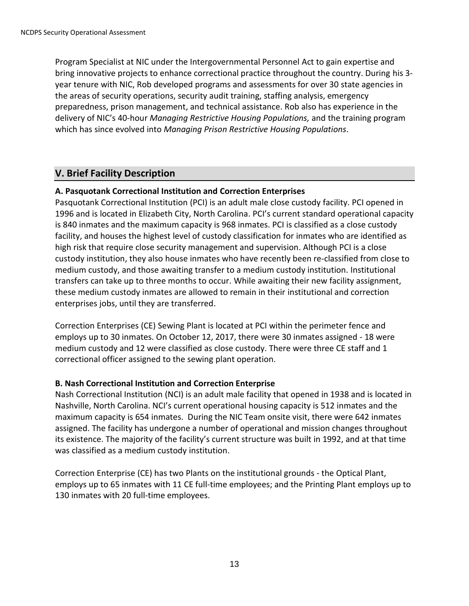Program Specialist at NIC under the Intergovernmental Personnel Act to gain expertise and bring innovative projects to enhance correctional practice throughout the country. During his 3 year tenure with NIC, Rob developed programs and assessments for over 30 state agencies in the areas of security operations, security audit training, staffing analysis, emergency preparedness, prison management, and technical assistance. Rob also has experience in the delivery of NIC's 40-hour *Managing Restrictive Housing Populations,* and the training program which has since evolved into *Managing Prison Restrictive Housing Populations*.

# <span id="page-12-0"></span>**V. Brief Facility Description**

# <span id="page-12-1"></span>**A. Pasquotank Correctional Institution and Correction Enterprises**

Pasquotank Correctional Institution (PCI) is an adult male close custody facility. PCI opened in 1996 and is located in Elizabeth City, North Carolina. PCI's current standard operational capacity is 840 inmates and the maximum capacity is 968 inmates. PCI is classified as a close custody facility, and houses the highest level of custody classification for inmates who are identified as high risk that require close security management and supervision. Although PCI is a close custody institution, they also house inmates who have recently been re-classified from close to medium custody, and those awaiting transfer to a medium custody institution. Institutional transfers can take up to three months to occur. While awaiting their new facility assignment, these medium custody inmates are allowed to remain in their institutional and correction enterprises jobs, until they are transferred.

Correction Enterprises (CE) Sewing Plant is located at PCI within the perimeter fence and employs up to 30 inmates. On October 12, 2017, there were 30 inmates assigned - 18 were medium custody and 12 were classified as close custody. There were three CE staff and 1 correctional officer assigned to the sewing plant operation.

# <span id="page-12-2"></span>**B. Nash Correctional Institution and Correction Enterprise**

Nash Correctional Institution (NCI) is an adult male facility that opened in 1938 and is located in Nashville, North Carolina. NCI's current operational housing capacity is 512 inmates and the maximum capacity is 654 inmates. During the NIC Team onsite visit, there were 642 inmates assigned. The facility has undergone a number of operational and mission changes throughout its existence. The majority of the facility's current structure was built in 1992, and at that time was classified as a medium custody institution.

Correction Enterprise (CE) has two Plants on the institutional grounds - the Optical Plant, employs up to 65 inmates with 11 CE full-time employees; and the Printing Plant employs up to 130 inmates with 20 full-time employees.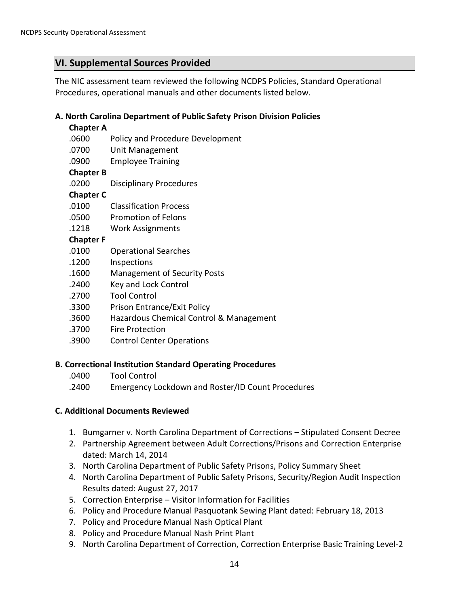# <span id="page-13-0"></span>**VI. Supplemental Sources Provided**

The NIC assessment team reviewed the following NCDPS Policies, Standard Operational Procedures, operational manuals and other documents listed below.

# <span id="page-13-1"></span>**A. North Carolina Department of Public Safety Prison Division Policies**

#### **Chapter A**

- .0600 Policy and Procedure Development
- .0700 Unit Management
- .0900 Employee Training

#### **Chapter B**

.0200 Disciplinary Procedures

# **Chapter C**

- .0100 Classification Process
- .0500 Promotion of Felons
- .1218 Work Assignments

#### **Chapter F**

- .0100 Operational Searches
- .1200 Inspections
- .1600 Management of Security Posts
- .2400 Key and Lock Control
- .2700 Tool Control
- .3300 Prison Entrance/Exit Policy
- .3600 Hazardous Chemical Control & Management
- .3700 Fire Protection
- .3900 Control Center Operations

#### <span id="page-13-2"></span>**B. Correctional Institution Standard Operating Procedures**

- .0400 Tool Control
- .2400 Emergency Lockdown and Roster/ID Count Procedures

#### <span id="page-13-3"></span>**C. Additional Documents Reviewed**

- 1. Bumgarner v. North Carolina Department of Corrections Stipulated Consent Decree
- 2. Partnership Agreement between Adult Corrections/Prisons and Correction Enterprise dated: March 14, 2014
- 3. North Carolina Department of Public Safety Prisons, Policy Summary Sheet
- 4. North Carolina Department of Public Safety Prisons, Security/Region Audit Inspection Results dated: August 27, 2017
- 5. Correction Enterprise Visitor Information for Facilities
- 6. Policy and Procedure Manual Pasquotank Sewing Plant dated: February 18, 2013
- 7. Policy and Procedure Manual Nash Optical Plant
- 8. Policy and Procedure Manual Nash Print Plant
- 9. North Carolina Department of Correction, Correction Enterprise Basic Training Level-2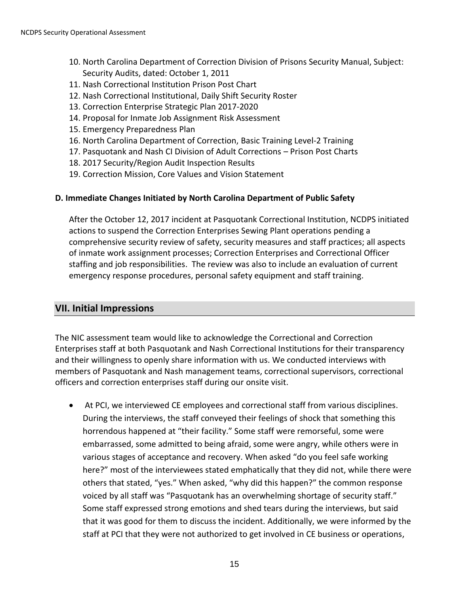- 10. North Carolina Department of Correction Division of Prisons Security Manual, Subject: Security Audits, dated: October 1, 2011
- 11. Nash Correctional Institution Prison Post Chart
- 12. Nash Correctional Institutional, Daily Shift Security Roster
- 13. Correction Enterprise Strategic Plan 2017-2020
- 14. Proposal for Inmate Job Assignment Risk Assessment
- 15. Emergency Preparedness Plan
- 16. North Carolina Department of Correction, Basic Training Level-2 Training
- 17. Pasquotank and Nash CI Division of Adult Corrections Prison Post Charts
- 18. 2017 Security/Region Audit Inspection Results
- 19. Correction Mission, Core Values and Vision Statement

#### <span id="page-14-0"></span>**D. Immediate Changes Initiated by North Carolina Department of Public Safety**

After the October 12, 2017 incident at Pasquotank Correctional Institution, NCDPS initiated actions to suspend the Correction Enterprises Sewing Plant operations pending a comprehensive security review of safety, security measures and staff practices; all aspects of inmate work assignment processes; Correction Enterprises and Correctional Officer staffing and job responsibilities. The review was also to include an evaluation of current emergency response procedures, personal safety equipment and staff training.

# <span id="page-14-1"></span>**VII. Initial Impressions**

The NIC assessment team would like to acknowledge the Correctional and Correction Enterprises staff at both Pasquotank and Nash Correctional Institutions for their transparency and their willingness to openly share information with us. We conducted interviews with members of Pasquotank and Nash management teams, correctional supervisors, correctional officers and correction enterprises staff during our onsite visit.

 At PCI, we interviewed CE employees and correctional staff from various disciplines. During the interviews, the staff conveyed their feelings of shock that something this horrendous happened at "their facility." Some staff were remorseful, some were embarrassed, some admitted to being afraid, some were angry, while others were in various stages of acceptance and recovery. When asked "do you feel safe working here?" most of the interviewees stated emphatically that they did not, while there were others that stated, "yes." When asked, "why did this happen?" the common response voiced by all staff was "Pasquotank has an overwhelming shortage of security staff." Some staff expressed strong emotions and shed tears during the interviews, but said that it was good for them to discuss the incident. Additionally, we were informed by the staff at PCI that they were not authorized to get involved in CE business or operations,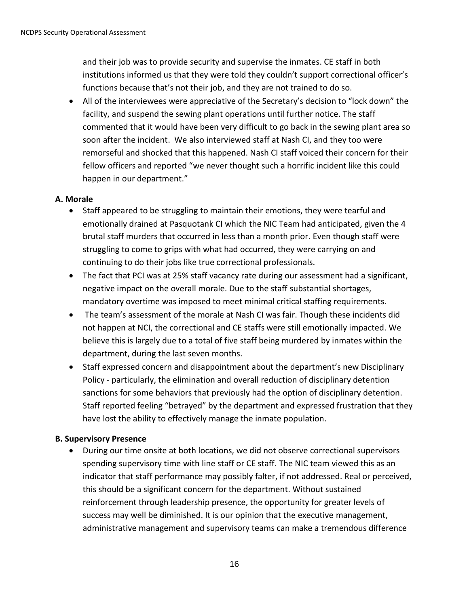and their job was to provide security and supervise the inmates. CE staff in both institutions informed us that they were told they couldn't support correctional officer's functions because that's not their job, and they are not trained to do so.

 All of the interviewees were appreciative of the Secretary's decision to "lock down" the facility, and suspend the sewing plant operations until further notice. The staff commented that it would have been very difficult to go back in the sewing plant area so soon after the incident. We also interviewed staff at Nash CI, and they too were remorseful and shocked that this happened. Nash CI staff voiced their concern for their fellow officers and reported "we never thought such a horrific incident like this could happen in our department."

# <span id="page-15-0"></span>**A. Morale**

- Staff appeared to be struggling to maintain their emotions, they were tearful and emotionally drained at Pasquotank CI which the NIC Team had anticipated, given the 4 brutal staff murders that occurred in less than a month prior. Even though staff were struggling to come to grips with what had occurred, they were carrying on and continuing to do their jobs like true correctional professionals.
- The fact that PCI was at 25% staff vacancy rate during our assessment had a significant, negative impact on the overall morale. Due to the staff substantial shortages, mandatory overtime was imposed to meet minimal critical staffing requirements.
- The team's assessment of the morale at Nash CI was fair. Though these incidents did not happen at NCI, the correctional and CE staffs were still emotionally impacted. We believe this is largely due to a total of five staff being murdered by inmates within the department, during the last seven months.
- Staff expressed concern and disappointment about the department's new Disciplinary Policy - particularly, the elimination and overall reduction of disciplinary detention sanctions for some behaviors that previously had the option of disciplinary detention. Staff reported feeling "betrayed" by the department and expressed frustration that they have lost the ability to effectively manage the inmate population.

# <span id="page-15-1"></span>**B. Supervisory Presence**

 During our time onsite at both locations, we did not observe correctional supervisors spending supervisory time with line staff or CE staff. The NIC team viewed this as an indicator that staff performance may possibly falter, if not addressed. Real or perceived, this should be a significant concern for the department. Without sustained reinforcement through leadership presence, the opportunity for greater levels of success may well be diminished. It is our opinion that the executive management, administrative management and supervisory teams can make a tremendous difference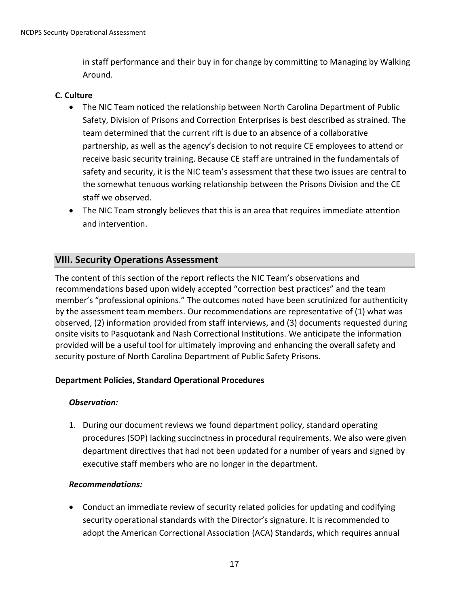in staff performance and their buy in for change by committing to Managing by Walking Around.

#### <span id="page-16-0"></span>**C. Culture**

- The NIC Team noticed the relationship between North Carolina Department of Public Safety, Division of Prisons and Correction Enterprises is best described as strained. The team determined that the current rift is due to an absence of a collaborative partnership, as well as the agency's decision to not require CE employees to attend or receive basic security training. Because CE staff are untrained in the fundamentals of safety and security, it is the NIC team's assessment that these two issues are central to the somewhat tenuous working relationship between the Prisons Division and the CE staff we observed.
- The NIC Team strongly believes that this is an area that requires immediate attention and intervention.

# <span id="page-16-1"></span>**VIII. Security Operations Assessment**

The content of this section of the report reflects the NIC Team's observations and recommendations based upon widely accepted "correction best practices" and the team member's "professional opinions." The outcomes noted have been scrutinized for authenticity by the assessment team members. Our recommendations are representative of (1) what was observed, (2) information provided from staff interviews, and (3) documents requested during onsite visits to Pasquotank and Nash Correctional Institutions. We anticipate the information provided will be a useful tool for ultimately improving and enhancing the overall safety and security posture of North Carolina Department of Public Safety Prisons.

# <span id="page-16-2"></span>**Department Policies, Standard Operational Procedures**

# *Observation:*

1. During our document reviews we found department policy, standard operating procedures (SOP) lacking succinctness in procedural requirements. We also were given department directives that had not been updated for a number of years and signed by executive staff members who are no longer in the department.

# *Recommendations:*

 Conduct an immediate review of security related policies for updating and codifying security operational standards with the Director's signature. It is recommended to adopt the American Correctional Association (ACA) Standards, which requires annual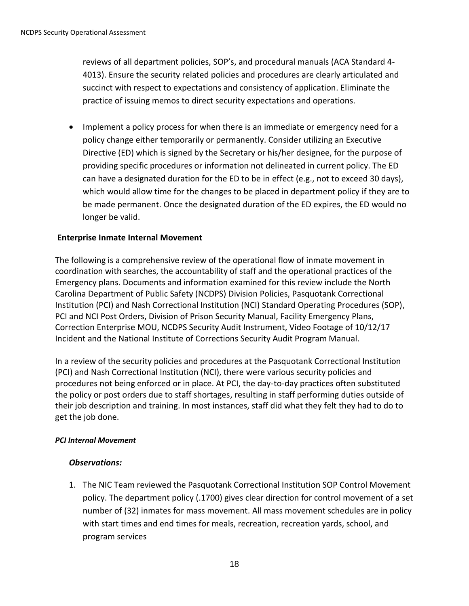reviews of all department policies, SOP's, and procedural manuals (ACA Standard 4- 4013). Ensure the security related policies and procedures are clearly articulated and succinct with respect to expectations and consistency of application. Eliminate the practice of issuing memos to direct security expectations and operations.

• Implement a policy process for when there is an immediate or emergency need for a policy change either temporarily or permanently. Consider utilizing an Executive Directive (ED) which is signed by the Secretary or his/her designee, for the purpose of providing specific procedures or information not delineated in current policy. The ED can have a designated duration for the ED to be in effect (e.g., not to exceed 30 days), which would allow time for the changes to be placed in department policy if they are to be made permanent. Once the designated duration of the ED expires, the ED would no longer be valid.

# <span id="page-17-0"></span>**Enterprise Inmate Internal Movement**

The following is a comprehensive review of the operational flow of inmate movement in coordination with searches, the accountability of staff and the operational practices of the Emergency plans. Documents and information examined for this review include the North Carolina Department of Public Safety (NCDPS) Division Policies, Pasquotank Correctional Institution (PCI) and Nash Correctional Institution (NCI) Standard Operating Procedures (SOP), PCI and NCI Post Orders, Division of Prison Security Manual, Facility Emergency Plans, Correction Enterprise MOU, NCDPS Security Audit Instrument, Video Footage of 10/12/17 Incident and the National Institute of Corrections Security Audit Program Manual.

In a review of the security policies and procedures at the Pasquotank Correctional Institution (PCI) and Nash Correctional Institution (NCI), there were various security policies and procedures not being enforced or in place. At PCI, the day-to-day practices often substituted the policy or post orders due to staff shortages, resulting in staff performing duties outside of their job description and training. In most instances, staff did what they felt they had to do to get the job done.

# *PCI Internal Movement*

# *Observations:*

1. The NIC Team reviewed the Pasquotank Correctional Institution SOP Control Movement policy. The department policy (.1700) gives clear direction for control movement of a set number of (32) inmates for mass movement. All mass movement schedules are in policy with start times and end times for meals, recreation, recreation yards, school, and program services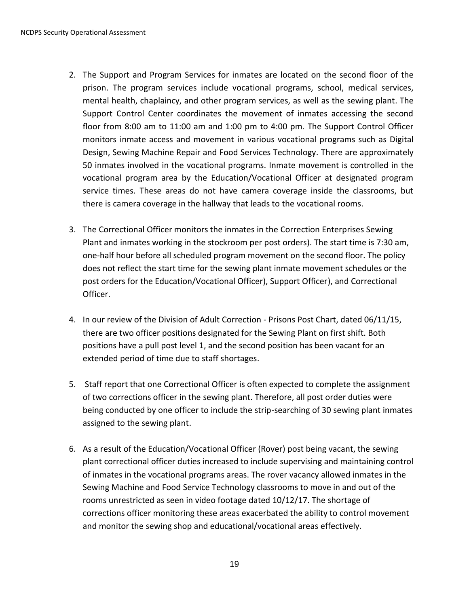- 2. The Support and Program Services for inmates are located on the second floor of the prison. The program services include vocational programs, school, medical services, mental health, chaplaincy, and other program services, as well as the sewing plant. The Support Control Center coordinates the movement of inmates accessing the second floor from 8:00 am to 11:00 am and 1:00 pm to 4:00 pm. The Support Control Officer monitors inmate access and movement in various vocational programs such as Digital Design, Sewing Machine Repair and Food Services Technology. There are approximately 50 inmates involved in the vocational programs. Inmate movement is controlled in the vocational program area by the Education/Vocational Officer at designated program service times. These areas do not have camera coverage inside the classrooms, but there is camera coverage in the hallway that leads to the vocational rooms.
- 3. The Correctional Officer monitors the inmates in the Correction Enterprises Sewing Plant and inmates working in the stockroom per post orders). The start time is 7:30 am, one-half hour before all scheduled program movement on the second floor. The policy does not reflect the start time for the sewing plant inmate movement schedules or the post orders for the Education/Vocational Officer), Support Officer), and Correctional Officer.
- 4. In our review of the Division of Adult Correction Prisons Post Chart, dated 06/11/15, there are two officer positions designated for the Sewing Plant on first shift. Both positions have a pull post level 1, and the second position has been vacant for an extended period of time due to staff shortages.
- 5. Staff report that one Correctional Officer is often expected to complete the assignment of two corrections officer in the sewing plant. Therefore, all post order duties were being conducted by one officer to include the strip-searching of 30 sewing plant inmates assigned to the sewing plant.
- 6. As a result of the Education/Vocational Officer (Rover) post being vacant, the sewing plant correctional officer duties increased to include supervising and maintaining control of inmates in the vocational programs areas. The rover vacancy allowed inmates in the Sewing Machine and Food Service Technology classrooms to move in and out of the rooms unrestricted as seen in video footage dated 10/12/17. The shortage of corrections officer monitoring these areas exacerbated the ability to control movement and monitor the sewing shop and educational/vocational areas effectively.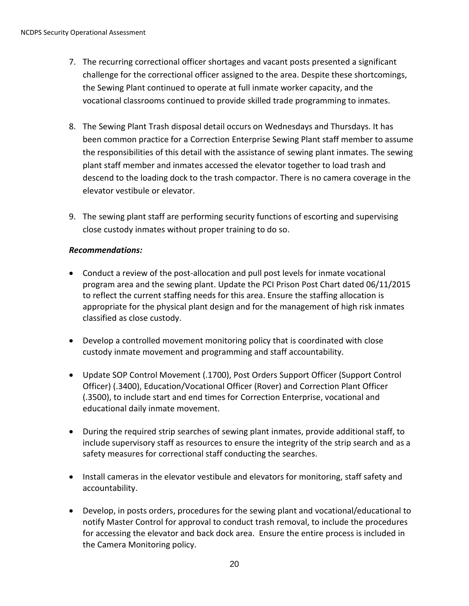- 7. The recurring correctional officer shortages and vacant posts presented a significant challenge for the correctional officer assigned to the area. Despite these shortcomings, the Sewing Plant continued to operate at full inmate worker capacity, and the vocational classrooms continued to provide skilled trade programming to inmates.
- 8. The Sewing Plant Trash disposal detail occurs on Wednesdays and Thursdays. It has been common practice for a Correction Enterprise Sewing Plant staff member to assume the responsibilities of this detail with the assistance of sewing plant inmates. The sewing plant staff member and inmates accessed the elevator together to load trash and descend to the loading dock to the trash compactor. There is no camera coverage in the elevator vestibule or elevator.
- 9. The sewing plant staff are performing security functions of escorting and supervising close custody inmates without proper training to do so.

# *Recommendations:*

- Conduct a review of the post-allocation and pull post levels for inmate vocational program area and the sewing plant. Update the PCI Prison Post Chart dated 06/11/2015 to reflect the current staffing needs for this area. Ensure the staffing allocation is appropriate for the physical plant design and for the management of high risk inmates classified as close custody.
- Develop a controlled movement monitoring policy that is coordinated with close custody inmate movement and programming and staff accountability.
- Update SOP Control Movement (.1700), Post Orders Support Officer (Support Control Officer) (.3400), Education/Vocational Officer (Rover) and Correction Plant Officer (.3500), to include start and end times for Correction Enterprise, vocational and educational daily inmate movement.
- During the required strip searches of sewing plant inmates, provide additional staff, to include supervisory staff as resources to ensure the integrity of the strip search and as a safety measures for correctional staff conducting the searches.
- Install cameras in the elevator vestibule and elevators for monitoring, staff safety and accountability.
- Develop, in posts orders, procedures for the sewing plant and vocational/educational to notify Master Control for approval to conduct trash removal, to include the procedures for accessing the elevator and back dock area. Ensure the entire process is included in the Camera Monitoring policy.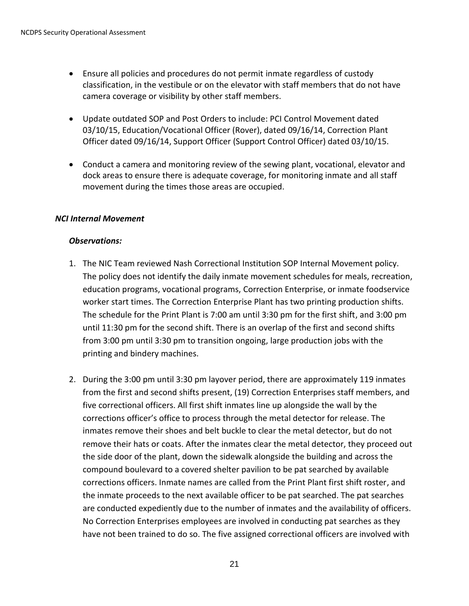- Ensure all policies and procedures do not permit inmate regardless of custody classification, in the vestibule or on the elevator with staff members that do not have camera coverage or visibility by other staff members.
- Update outdated SOP and Post Orders to include: PCI Control Movement dated 03/10/15, Education/Vocational Officer (Rover), dated 09/16/14, Correction Plant Officer dated 09/16/14, Support Officer (Support Control Officer) dated 03/10/15.
- Conduct a camera and monitoring review of the sewing plant, vocational, elevator and dock areas to ensure there is adequate coverage, for monitoring inmate and all staff movement during the times those areas are occupied.

# *NCI Internal Movement*

#### *Observations:*

- 1. The NIC Team reviewed Nash Correctional Institution SOP Internal Movement policy. The policy does not identify the daily inmate movement schedules for meals, recreation, education programs, vocational programs, Correction Enterprise, or inmate foodservice worker start times. The Correction Enterprise Plant has two printing production shifts. The schedule for the Print Plant is 7:00 am until 3:30 pm for the first shift, and 3:00 pm until 11:30 pm for the second shift. There is an overlap of the first and second shifts from 3:00 pm until 3:30 pm to transition ongoing, large production jobs with the printing and bindery machines.
- 2. During the 3:00 pm until 3:30 pm layover period, there are approximately 119 inmates from the first and second shifts present, (19) Correction Enterprises staff members, and five correctional officers. All first shift inmates line up alongside the wall by the corrections officer's office to process through the metal detector for release. The inmates remove their shoes and belt buckle to clear the metal detector, but do not remove their hats or coats. After the inmates clear the metal detector, they proceed out the side door of the plant, down the sidewalk alongside the building and across the compound boulevard to a covered shelter pavilion to be pat searched by available corrections officers. Inmate names are called from the Print Plant first shift roster, and the inmate proceeds to the next available officer to be pat searched. The pat searches are conducted expediently due to the number of inmates and the availability of officers. No Correction Enterprises employees are involved in conducting pat searches as they have not been trained to do so. The five assigned correctional officers are involved with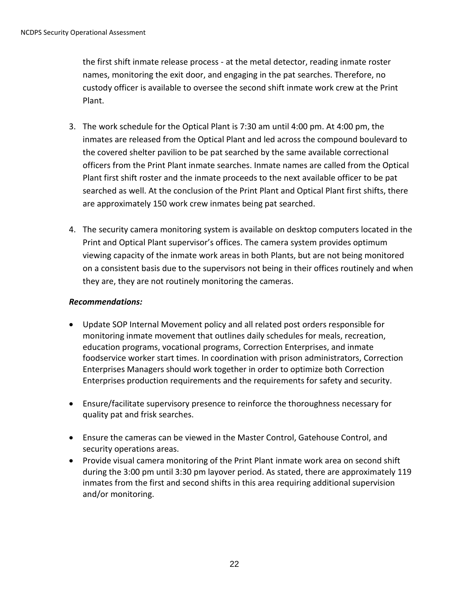the first shift inmate release process - at the metal detector, reading inmate roster names, monitoring the exit door, and engaging in the pat searches. Therefore, no custody officer is available to oversee the second shift inmate work crew at the Print Plant.

- 3. The work schedule for the Optical Plant is 7:30 am until 4:00 pm. At 4:00 pm, the inmates are released from the Optical Plant and led across the compound boulevard to the covered shelter pavilion to be pat searched by the same available correctional officers from the Print Plant inmate searches. Inmate names are called from the Optical Plant first shift roster and the inmate proceeds to the next available officer to be pat searched as well. At the conclusion of the Print Plant and Optical Plant first shifts, there are approximately 150 work crew inmates being pat searched.
- 4. The security camera monitoring system is available on desktop computers located in the Print and Optical Plant supervisor's offices. The camera system provides optimum viewing capacity of the inmate work areas in both Plants, but are not being monitored on a consistent basis due to the supervisors not being in their offices routinely and when they are, they are not routinely monitoring the cameras.

# *Recommendations:*

- Update SOP Internal Movement policy and all related post orders responsible for monitoring inmate movement that outlines daily schedules for meals, recreation, education programs, vocational programs, Correction Enterprises, and inmate foodservice worker start times. In coordination with prison administrators, Correction Enterprises Managers should work together in order to optimize both Correction Enterprises production requirements and the requirements for safety and security.
- Ensure/facilitate supervisory presence to reinforce the thoroughness necessary for quality pat and frisk searches.
- Ensure the cameras can be viewed in the Master Control, Gatehouse Control, and security operations areas.
- Provide visual camera monitoring of the Print Plant inmate work area on second shift during the 3:00 pm until 3:30 pm layover period. As stated, there are approximately 119 inmates from the first and second shifts in this area requiring additional supervision and/or monitoring.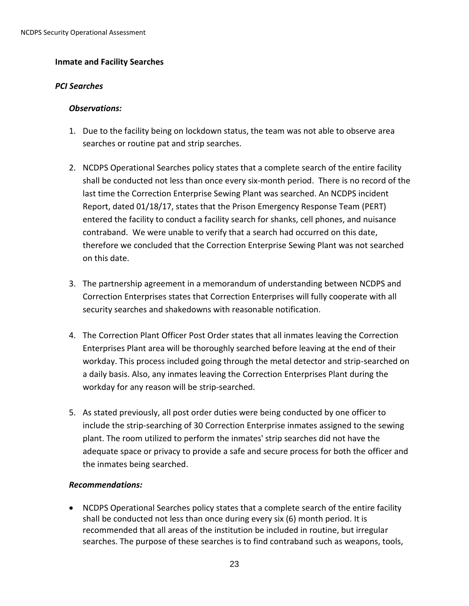#### <span id="page-22-0"></span>**Inmate and Facility Searches**

#### *PCI Searches*

#### *Observations:*

- 1. Due to the facility being on lockdown status, the team was not able to observe area searches or routine pat and strip searches.
- 2. NCDPS Operational Searches policy states that a complete search of the entire facility shall be conducted not less than once every six-month period. There is no record of the last time the Correction Enterprise Sewing Plant was searched. An NCDPS incident Report, dated 01/18/17, states that the Prison Emergency Response Team (PERT) entered the facility to conduct a facility search for shanks, cell phones, and nuisance contraband. We were unable to verify that a search had occurred on this date, therefore we concluded that the Correction Enterprise Sewing Plant was not searched on this date.
- 3. The partnership agreement in a memorandum of understanding between NCDPS and Correction Enterprises states that Correction Enterprises will fully cooperate with all security searches and shakedowns with reasonable notification.
- 4. The Correction Plant Officer Post Order states that all inmates leaving the Correction Enterprises Plant area will be thoroughly searched before leaving at the end of their workday. This process included going through the metal detector and strip-searched on a daily basis. Also, any inmates leaving the Correction Enterprises Plant during the workday for any reason will be strip-searched.
- 5. As stated previously, all post order duties were being conducted by one officer to include the strip-searching of 30 Correction Enterprise inmates assigned to the sewing plant. The room utilized to perform the inmates' strip searches did not have the adequate space or privacy to provide a safe and secure process for both the officer and the inmates being searched.

# *Recommendations:*

• NCDPS Operational Searches policy states that a complete search of the entire facility shall be conducted not less than once during every six (6) month period. It is recommended that all areas of the institution be included in routine, but irregular searches. The purpose of these searches is to find contraband such as weapons, tools,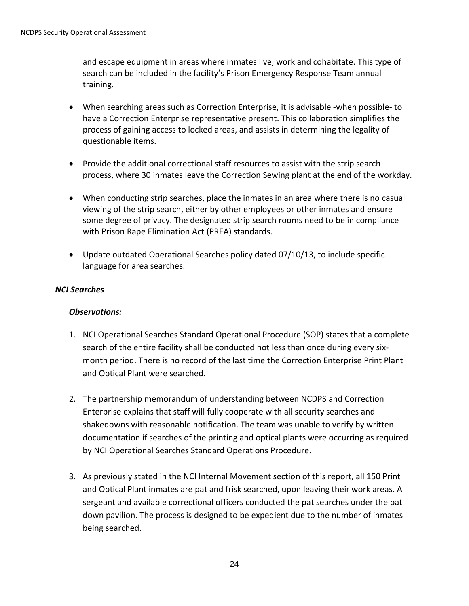and escape equipment in areas where inmates live, work and cohabitate. This type of search can be included in the facility's Prison Emergency Response Team annual training.

- When searching areas such as Correction Enterprise, it is advisable -when possible- to have a Correction Enterprise representative present. This collaboration simplifies the process of gaining access to locked areas, and assists in determining the legality of questionable items.
- Provide the additional correctional staff resources to assist with the strip search process, where 30 inmates leave the Correction Sewing plant at the end of the workday.
- When conducting strip searches, place the inmates in an area where there is no casual viewing of the strip search, either by other employees or other inmates and ensure some degree of privacy. The designated strip search rooms need to be in compliance with Prison Rape Elimination Act (PREA) standards.
- Update outdated Operational Searches policy dated 07/10/13, to include specific language for area searches.

# *NCI Searches*

#### *Observations:*

- 1. NCI Operational Searches Standard Operational Procedure (SOP) states that a complete search of the entire facility shall be conducted not less than once during every sixmonth period. There is no record of the last time the Correction Enterprise Print Plant and Optical Plant were searched.
- 2. The partnership memorandum of understanding between NCDPS and Correction Enterprise explains that staff will fully cooperate with all security searches and shakedowns with reasonable notification. The team was unable to verify by written documentation if searches of the printing and optical plants were occurring as required by NCI Operational Searches Standard Operations Procedure.
- 3. As previously stated in the NCI Internal Movement section of this report, all 150 Print and Optical Plant inmates are pat and frisk searched, upon leaving their work areas. A sergeant and available correctional officers conducted the pat searches under the pat down pavilion. The process is designed to be expedient due to the number of inmates being searched.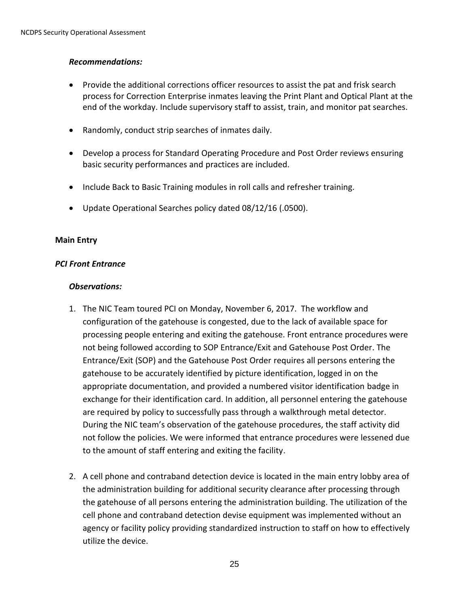# *Recommendations:*

- Provide the additional corrections officer resources to assist the pat and frisk search process for Correction Enterprise inmates leaving the Print Plant and Optical Plant at the end of the workday. Include supervisory staff to assist, train, and monitor pat searches.
- Randomly, conduct strip searches of inmates daily.
- Develop a process for Standard Operating Procedure and Post Order reviews ensuring basic security performances and practices are included.
- Include Back to Basic Training modules in roll calls and refresher training.
- Update Operational Searches policy dated 08/12/16 (.0500).

#### <span id="page-24-0"></span>**Main Entry**

#### *PCI Front Entrance*

#### *Observations:*

- 1. The NIC Team toured PCI on Monday, November 6, 2017. The workflow and configuration of the gatehouse is congested, due to the lack of available space for processing people entering and exiting the gatehouse. Front entrance procedures were not being followed according to SOP Entrance/Exit and Gatehouse Post Order. The Entrance/Exit (SOP) and the Gatehouse Post Order requires all persons entering the gatehouse to be accurately identified by picture identification, logged in on the appropriate documentation, and provided a numbered visitor identification badge in exchange for their identification card. In addition, all personnel entering the gatehouse are required by policy to successfully pass through a walkthrough metal detector. During the NIC team's observation of the gatehouse procedures, the staff activity did not follow the policies. We were informed that entrance procedures were lessened due to the amount of staff entering and exiting the facility.
- 2. A cell phone and contraband detection device is located in the main entry lobby area of the administration building for additional security clearance after processing through the gatehouse of all persons entering the administration building. The utilization of the cell phone and contraband detection devise equipment was implemented without an agency or facility policy providing standardized instruction to staff on how to effectively utilize the device.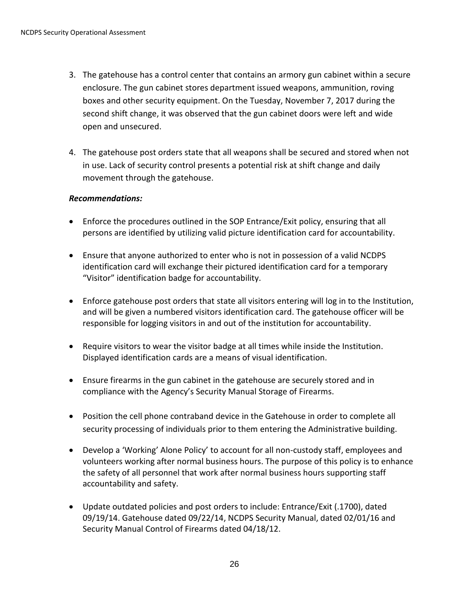- 3. The gatehouse has a control center that contains an armory gun cabinet within a secure enclosure. The gun cabinet stores department issued weapons, ammunition, roving boxes and other security equipment. On the Tuesday, November 7, 2017 during the second shift change, it was observed that the gun cabinet doors were left and wide open and unsecured.
- 4. The gatehouse post orders state that all weapons shall be secured and stored when not in use. Lack of security control presents a potential risk at shift change and daily movement through the gatehouse.

#### *Recommendations:*

- Enforce the procedures outlined in the SOP Entrance/Exit policy, ensuring that all persons are identified by utilizing valid picture identification card for accountability.
- Ensure that anyone authorized to enter who is not in possession of a valid NCDPS identification card will exchange their pictured identification card for a temporary "Visitor" identification badge for accountability.
- Enforce gatehouse post orders that state all visitors entering will log in to the Institution, and will be given a numbered visitors identification card. The gatehouse officer will be responsible for logging visitors in and out of the institution for accountability.
- Require visitors to wear the visitor badge at all times while inside the Institution. Displayed identification cards are a means of visual identification.
- Ensure firearms in the gun cabinet in the gatehouse are securely stored and in compliance with the Agency's Security Manual Storage of Firearms.
- Position the cell phone contraband device in the Gatehouse in order to complete all security processing of individuals prior to them entering the Administrative building.
- Develop a 'Working' Alone Policy' to account for all non-custody staff, employees and volunteers working after normal business hours. The purpose of this policy is to enhance the safety of all personnel that work after normal business hours supporting staff accountability and safety.
- Update outdated policies and post orders to include: Entrance/Exit (.1700), dated 09/19/14. Gatehouse dated 09/22/14, NCDPS Security Manual, dated 02/01/16 and Security Manual Control of Firearms dated 04/18/12.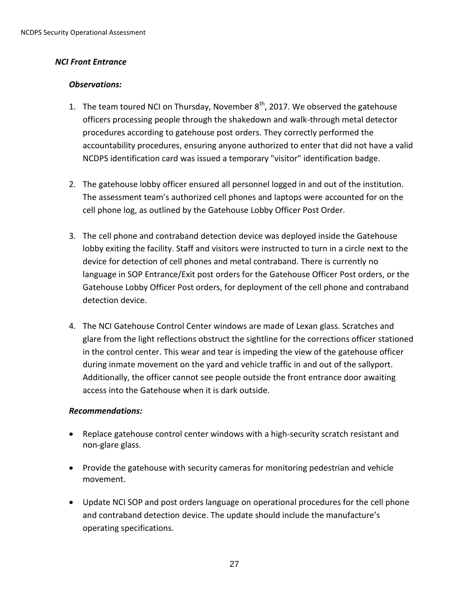#### *NCI Front Entrance*

#### *Observations:*

- 1. The team toured NCI on Thursday, November  $8^{th}$ , 2017. We observed the gatehouse officers processing people through the shakedown and walk-through metal detector procedures according to gatehouse post orders. They correctly performed the accountability procedures, ensuring anyone authorized to enter that did not have a valid NCDPS identification card was issued a temporary "visitor" identification badge.
- 2. The gatehouse lobby officer ensured all personnel logged in and out of the institution. The assessment team's authorized cell phones and laptops were accounted for on the cell phone log, as outlined by the Gatehouse Lobby Officer Post Order.
- 3. The cell phone and contraband detection device was deployed inside the Gatehouse lobby exiting the facility. Staff and visitors were instructed to turn in a circle next to the device for detection of cell phones and metal contraband. There is currently no language in SOP Entrance/Exit post orders for the Gatehouse Officer Post orders, or the Gatehouse Lobby Officer Post orders, for deployment of the cell phone and contraband detection device.
- 4. The NCI Gatehouse Control Center windows are made of Lexan glass. Scratches and glare from the light reflections obstruct the sightline for the corrections officer stationed in the control center. This wear and tear is impeding the view of the gatehouse officer during inmate movement on the yard and vehicle traffic in and out of the sallyport. Additionally, the officer cannot see people outside the front entrance door awaiting access into the Gatehouse when it is dark outside.

#### *Recommendations:*

- Replace gatehouse control center windows with a high-security scratch resistant and non-glare glass.
- Provide the gatehouse with security cameras for monitoring pedestrian and vehicle movement.
- Update NCI SOP and post orders language on operational procedures for the cell phone and contraband detection device. The update should include the manufacture's operating specifications.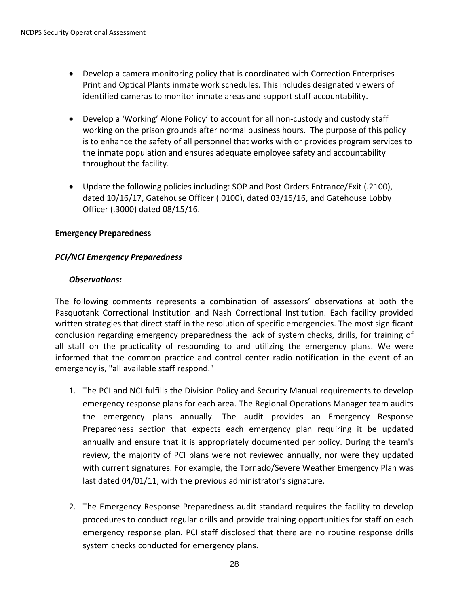- Develop a camera monitoring policy that is coordinated with Correction Enterprises Print and Optical Plants inmate work schedules. This includes designated viewers of identified cameras to monitor inmate areas and support staff accountability.
- Develop a 'Working' Alone Policy' to account for all non-custody and custody staff working on the prison grounds after normal business hours. The purpose of this policy is to enhance the safety of all personnel that works with or provides program services to the inmate population and ensures adequate employee safety and accountability throughout the facility.
- Update the following policies including: SOP and Post Orders Entrance/Exit (.2100), dated 10/16/17, Gatehouse Officer (.0100), dated 03/15/16, and Gatehouse Lobby Officer (.3000) dated 08/15/16.

# <span id="page-27-0"></span>**Emergency Preparedness**

#### *PCI/NCI Emergency Preparedness*

#### *Observations:*

The following comments represents a combination of assessors' observations at both the Pasquotank Correctional Institution and Nash Correctional Institution. Each facility provided written strategies that direct staff in the resolution of specific emergencies. The most significant conclusion regarding emergency preparedness the lack of system checks, drills, for training of all staff on the practicality of responding to and utilizing the emergency plans. We were informed that the common practice and control center radio notification in the event of an emergency is, "all available staff respond."

- 1. The PCI and NCI fulfills the Division Policy and Security Manual requirements to develop emergency response plans for each area. The Regional Operations Manager team audits the emergency plans annually. The audit provides an Emergency Response Preparedness section that expects each emergency plan requiring it be updated annually and ensure that it is appropriately documented per policy. During the team's review, the majority of PCI plans were not reviewed annually, nor were they updated with current signatures. For example, the Tornado/Severe Weather Emergency Plan was last dated 04/01/11, with the previous administrator's signature.
- 2. The Emergency Response Preparedness audit standard requires the facility to develop procedures to conduct regular drills and provide training opportunities for staff on each emergency response plan. PCI staff disclosed that there are no routine response drills system checks conducted for emergency plans.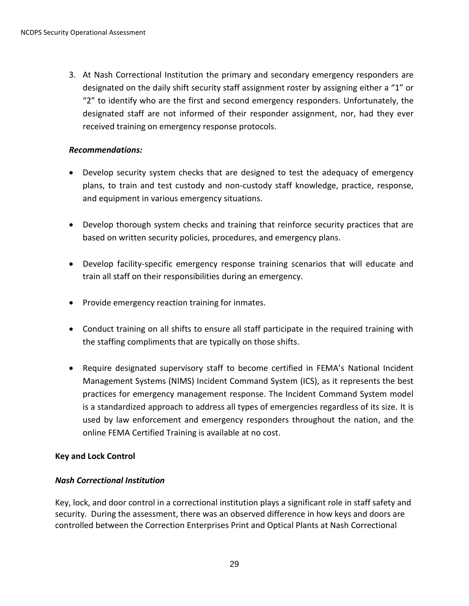3. At Nash Correctional Institution the primary and secondary emergency responders are designated on the daily shift security staff assignment roster by assigning either a "1" or "2" to identify who are the first and second emergency responders. Unfortunately, the designated staff are not informed of their responder assignment, nor, had they ever received training on emergency response protocols.

# *Recommendations:*

- Develop security system checks that are designed to test the adequacy of emergency plans, to train and test custody and non-custody staff knowledge, practice, response, and equipment in various emergency situations.
- Develop thorough system checks and training that reinforce security practices that are based on written security policies, procedures, and emergency plans.
- Develop facility-specific emergency response training scenarios that will educate and train all staff on their responsibilities during an emergency.
- Provide emergency reaction training for inmates.
- Conduct training on all shifts to ensure all staff participate in the required training with the staffing compliments that are typically on those shifts.
- Require designated supervisory staff to become certified in FEMA's National Incident Management Systems (NIMS) Incident Command System (ICS), as it represents the best practices for emergency management response. The Incident Command System model is a standardized approach to address all types of emergencies regardless of its size. It is used by law enforcement and emergency responders throughout the nation, and the online FEMA Certified Training is available at no cost.

# <span id="page-28-0"></span>**Key and Lock Control**

#### *Nash Correctional Institution*

Key, lock, and door control in a correctional institution plays a significant role in staff safety and security. During the assessment, there was an observed difference in how keys and doors are controlled between the Correction Enterprises Print and Optical Plants at Nash Correctional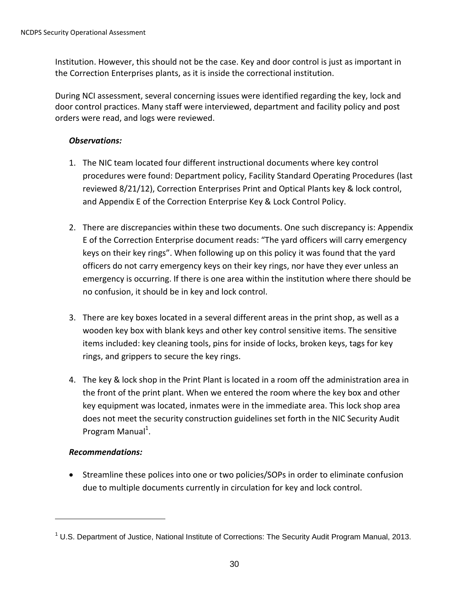Institution. However, this should not be the case. Key and door control is just as important in the Correction Enterprises plants, as it is inside the correctional institution.

During NCI assessment, several concerning issues were identified regarding the key, lock and door control practices. Many staff were interviewed, department and facility policy and post orders were read, and logs were reviewed.

# *Observations:*

- 1. The NIC team located four different instructional documents where key control procedures were found: Department policy, Facility Standard Operating Procedures (last reviewed 8/21/12), Correction Enterprises Print and Optical Plants key & lock control, and Appendix E of the Correction Enterprise Key & Lock Control Policy.
- 2. There are discrepancies within these two documents. One such discrepancy is: Appendix E of the Correction Enterprise document reads: "The yard officers will carry emergency keys on their key rings". When following up on this policy it was found that the yard officers do not carry emergency keys on their key rings, nor have they ever unless an emergency is occurring. If there is one area within the institution where there should be no confusion, it should be in key and lock control.
- 3. There are key boxes located in a several different areas in the print shop, as well as a wooden key box with blank keys and other key control sensitive items. The sensitive items included: key cleaning tools, pins for inside of locks, broken keys, tags for key rings, and grippers to secure the key rings.
- 4. The key & lock shop in the Print Plant is located in a room off the administration area in the front of the print plant. When we entered the room where the key box and other key equipment was located, inmates were in the immediate area. This lock shop area does not meet the security construction guidelines set forth in the NIC Security Audit Program Manual<sup>1</sup>.

# *Recommendations:*

 $\overline{a}$ 

 Streamline these polices into one or two policies/SOPs in order to eliminate confusion due to multiple documents currently in circulation for key and lock control.

 $1$  U.S. Department of Justice, National Institute of Corrections: The Security Audit Program Manual, 2013.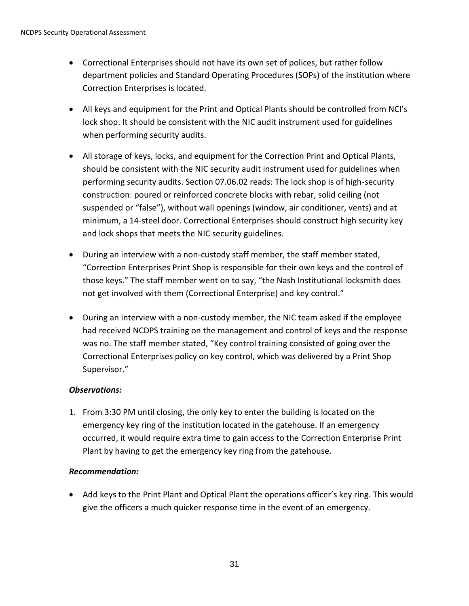- Correctional Enterprises should not have its own set of polices, but rather follow department policies and Standard Operating Procedures (SOPs) of the institution where Correction Enterprises is located.
- All keys and equipment for the Print and Optical Plants should be controlled from NCI's lock shop. It should be consistent with the NIC audit instrument used for guidelines when performing security audits.
- All storage of keys, locks, and equipment for the Correction Print and Optical Plants, should be consistent with the NIC security audit instrument used for guidelines when performing security audits. Section 07.06.02 reads: The lock shop is of high-security construction: poured or reinforced concrete blocks with rebar, solid ceiling (not suspended or "false"), without wall openings (window, air conditioner, vents) and at minimum, a 14-steel door. Correctional Enterprises should construct high security key and lock shops that meets the NIC security guidelines.
- During an interview with a non-custody staff member, the staff member stated, "Correction Enterprises Print Shop is responsible for their own keys and the control of those keys." The staff member went on to say, "the Nash Institutional locksmith does not get involved with them (Correctional Enterprise) and key control."
- During an interview with a non-custody member, the NIC team asked if the employee had received NCDPS training on the management and control of keys and the response was no. The staff member stated, "Key control training consisted of going over the Correctional Enterprises policy on key control, which was delivered by a Print Shop Supervisor."

# *Observations:*

1. From 3:30 PM until closing, the only key to enter the building is located on the emergency key ring of the institution located in the gatehouse. If an emergency occurred, it would require extra time to gain access to the Correction Enterprise Print Plant by having to get the emergency key ring from the gatehouse.

# *Recommendation:*

 Add keys to the Print Plant and Optical Plant the operations officer's key ring. This would give the officers a much quicker response time in the event of an emergency.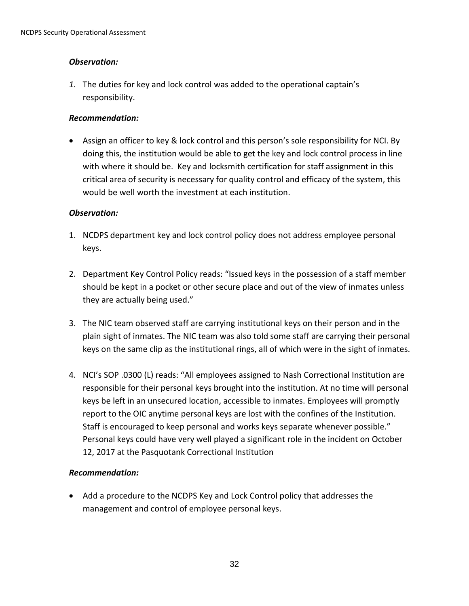# *Observation:*

*1.* The duties for key and lock control was added to the operational captain's responsibility.

# *Recommendation:*

 Assign an officer to key & lock control and this person's sole responsibility for NCI. By doing this, the institution would be able to get the key and lock control process in line with where it should be. Key and locksmith certification for staff assignment in this critical area of security is necessary for quality control and efficacy of the system, this would be well worth the investment at each institution.

# *Observation:*

- 1. NCDPS department key and lock control policy does not address employee personal keys.
- 2. Department Key Control Policy reads: "Issued keys in the possession of a staff member should be kept in a pocket or other secure place and out of the view of inmates unless they are actually being used."
- 3. The NIC team observed staff are carrying institutional keys on their person and in the plain sight of inmates. The NIC team was also told some staff are carrying their personal keys on the same clip as the institutional rings, all of which were in the sight of inmates.
- 4. NCI's SOP .0300 (L) reads: "All employees assigned to Nash Correctional Institution are responsible for their personal keys brought into the institution. At no time will personal keys be left in an unsecured location, accessible to inmates. Employees will promptly report to the OIC anytime personal keys are lost with the confines of the Institution. Staff is encouraged to keep personal and works keys separate whenever possible." Personal keys could have very well played a significant role in the incident on October 12, 2017 at the Pasquotank Correctional Institution

# *Recommendation:*

 Add a procedure to the NCDPS Key and Lock Control policy that addresses the management and control of employee personal keys.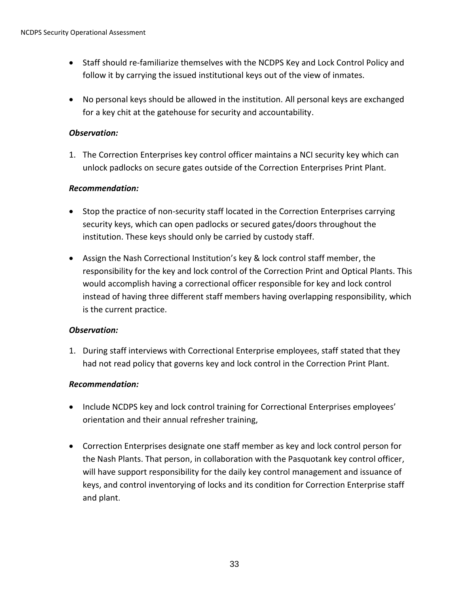- Staff should re-familiarize themselves with the NCDPS Key and Lock Control Policy and follow it by carrying the issued institutional keys out of the view of inmates.
- No personal keys should be allowed in the institution. All personal keys are exchanged for a key chit at the gatehouse for security and accountability.

# *Observation:*

1. The Correction Enterprises key control officer maintains a NCI security key which can unlock padlocks on secure gates outside of the Correction Enterprises Print Plant.

#### *Recommendation:*

- Stop the practice of non-security staff located in the Correction Enterprises carrying security keys, which can open padlocks or secured gates/doors throughout the institution. These keys should only be carried by custody staff.
- Assign the Nash Correctional Institution's key & lock control staff member, the responsibility for the key and lock control of the Correction Print and Optical Plants. This would accomplish having a correctional officer responsible for key and lock control instead of having three different staff members having overlapping responsibility, which is the current practice.

#### *Observation:*

1. During staff interviews with Correctional Enterprise employees, staff stated that they had not read policy that governs key and lock control in the Correction Print Plant.

#### *Recommendation:*

- Include NCDPS key and lock control training for Correctional Enterprises employees' orientation and their annual refresher training,
- Correction Enterprises designate one staff member as key and lock control person for the Nash Plants. That person, in collaboration with the Pasquotank key control officer, will have support responsibility for the daily key control management and issuance of keys, and control inventorying of locks and its condition for Correction Enterprise staff and plant.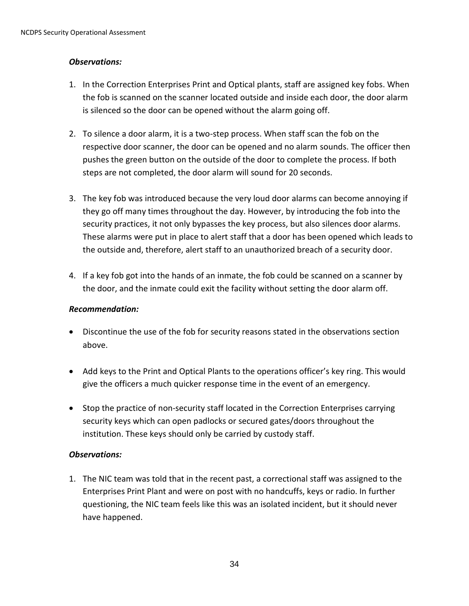# *Observations:*

- 1. In the Correction Enterprises Print and Optical plants, staff are assigned key fobs. When the fob is scanned on the scanner located outside and inside each door, the door alarm is silenced so the door can be opened without the alarm going off.
- 2. To silence a door alarm, it is a two-step process. When staff scan the fob on the respective door scanner, the door can be opened and no alarm sounds. The officer then pushes the green button on the outside of the door to complete the process. If both steps are not completed, the door alarm will sound for 20 seconds.
- 3. The key fob was introduced because the very loud door alarms can become annoying if they go off many times throughout the day. However, by introducing the fob into the security practices, it not only bypasses the key process, but also silences door alarms. These alarms were put in place to alert staff that a door has been opened which leads to the outside and, therefore, alert staff to an unauthorized breach of a security door.
- 4. If a key fob got into the hands of an inmate, the fob could be scanned on a scanner by the door, and the inmate could exit the facility without setting the door alarm off.

# *Recommendation:*

- Discontinue the use of the fob for security reasons stated in the observations section above.
- Add keys to the Print and Optical Plants to the operations officer's key ring. This would give the officers a much quicker response time in the event of an emergency.
- Stop the practice of non-security staff located in the Correction Enterprises carrying security keys which can open padlocks or secured gates/doors throughout the institution. These keys should only be carried by custody staff.

# *Observations:*

1. The NIC team was told that in the recent past, a correctional staff was assigned to the Enterprises Print Plant and were on post with no handcuffs, keys or radio. In further questioning, the NIC team feels like this was an isolated incident, but it should never have happened.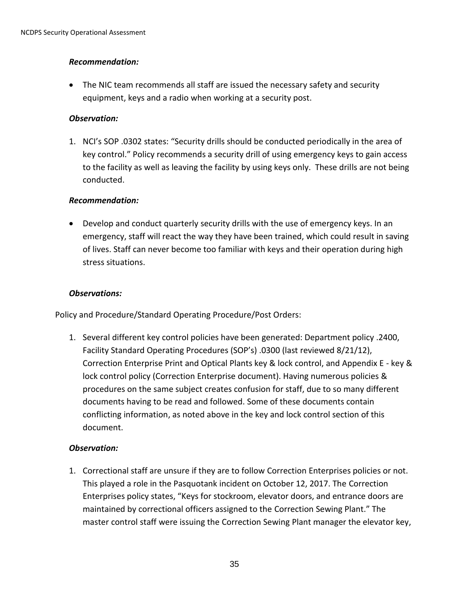# *Recommendation:*

 The NIC team recommends all staff are issued the necessary safety and security equipment, keys and a radio when working at a security post.

# *Observation:*

1. NCI's SOP .0302 states: "Security drills should be conducted periodically in the area of key control." Policy recommends a security drill of using emergency keys to gain access to the facility as well as leaving the facility by using keys only. These drills are not being conducted.

# *Recommendation:*

 Develop and conduct quarterly security drills with the use of emergency keys. In an emergency, staff will react the way they have been trained, which could result in saving of lives. Staff can never become too familiar with keys and their operation during high stress situations.

#### *Observations:*

Policy and Procedure/Standard Operating Procedure/Post Orders:

1. Several different key control policies have been generated: Department policy .2400, Facility Standard Operating Procedures (SOP's) .0300 (last reviewed 8/21/12), Correction Enterprise Print and Optical Plants key & lock control, and Appendix E - key & lock control policy (Correction Enterprise document). Having numerous policies & procedures on the same subject creates confusion for staff, due to so many different documents having to be read and followed. Some of these documents contain conflicting information, as noted above in the key and lock control section of this document.

# *Observation:*

1. Correctional staff are unsure if they are to follow Correction Enterprises policies or not. This played a role in the Pasquotank incident on October 12, 2017. The Correction Enterprises policy states, "Keys for stockroom, elevator doors, and entrance doors are maintained by correctional officers assigned to the Correction Sewing Plant." The master control staff were issuing the Correction Sewing Plant manager the elevator key,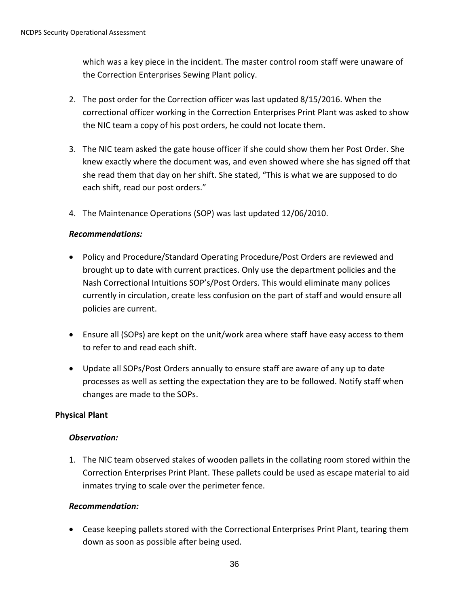which was a key piece in the incident. The master control room staff were unaware of the Correction Enterprises Sewing Plant policy.

- 2. The post order for the Correction officer was last updated 8/15/2016. When the correctional officer working in the Correction Enterprises Print Plant was asked to show the NIC team a copy of his post orders, he could not locate them.
- 3. The NIC team asked the gate house officer if she could show them her Post Order. She knew exactly where the document was, and even showed where she has signed off that she read them that day on her shift. She stated, "This is what we are supposed to do each shift, read our post orders."
- 4. The Maintenance Operations (SOP) was last updated 12/06/2010.

# *Recommendations:*

- Policy and Procedure/Standard Operating Procedure/Post Orders are reviewed and brought up to date with current practices. Only use the department policies and the Nash Correctional Intuitions SOP's/Post Orders. This would eliminate many polices currently in circulation, create less confusion on the part of staff and would ensure all policies are current.
- Ensure all (SOPs) are kept on the unit/work area where staff have easy access to them to refer to and read each shift.
- Update all SOPs/Post Orders annually to ensure staff are aware of any up to date processes as well as setting the expectation they are to be followed. Notify staff when changes are made to the SOPs.

# <span id="page-35-0"></span>**Physical Plant**

# *Observation:*

1. The NIC team observed stakes of wooden pallets in the collating room stored within the Correction Enterprises Print Plant. These pallets could be used as escape material to aid inmates trying to scale over the perimeter fence.

# *Recommendation:*

 Cease keeping pallets stored with the Correctional Enterprises Print Plant, tearing them down as soon as possible after being used.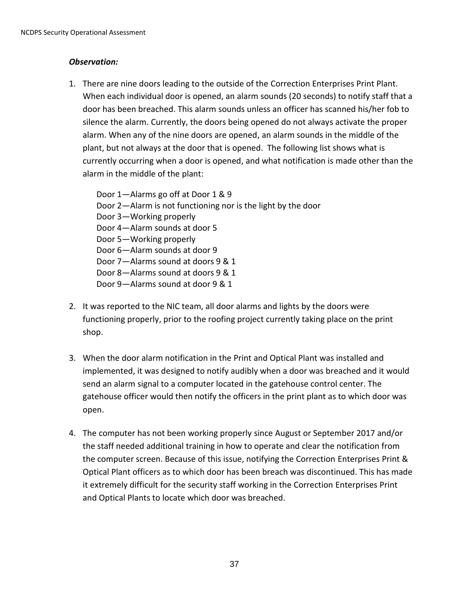## *Observation:*

1. There are nine doors leading to the outside of the Correction Enterprises Print Plant. When each individual door is opened, an alarm sounds (20 seconds) to notify staff that a door has been breached. This alarm sounds unless an officer has scanned his/her fob to silence the alarm. Currently, the doors being opened do not always activate the proper alarm. When any of the nine doors are opened, an alarm sounds in the middle of the plant, but not always at the door that is opened. The following list shows what is currently occurring when a door is opened, and what notification is made other than the alarm in the middle of the plant:

Door 1—Alarms go off at Door 1 & 9 Door 2—Alarm is not functioning nor is the light by the door Door 3—Working properly Door 4—Alarm sounds at door 5 Door 5—Working properly Door 6—Alarm sounds at door 9 Door 7—Alarms sound at doors 9 & 1 Door 8—Alarms sound at doors 9 & 1 Door 9—Alarms sound at door 9 & 1

- 2. It was reported to the NIC team, all door alarms and lights by the doors were functioning properly, prior to the roofing project currently taking place on the print shop.
- 3. When the door alarm notification in the Print and Optical Plant was installed and implemented, it was designed to notify audibly when a door was breached and it would send an alarm signal to a computer located in the gatehouse control center. The gatehouse officer would then notify the officers in the print plant as to which door was open.
- 4. The computer has not been working properly since August or September 2017 and/or the staff needed additional training in how to operate and clear the notification from the computer screen. Because of this issue, notifying the Correction Enterprises Print & Optical Plant officers as to which door has been breach was discontinued. This has made it extremely difficult for the security staff working in the Correction Enterprises Print and Optical Plants to locate which door was breached.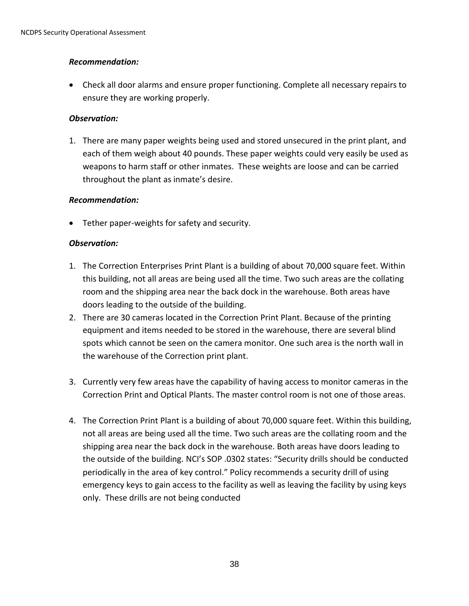## *Recommendation:*

 Check all door alarms and ensure proper functioning. Complete all necessary repairs to ensure they are working properly.

## *Observation:*

1. There are many paper weights being used and stored unsecured in the print plant, and each of them weigh about 40 pounds. These paper weights could very easily be used as weapons to harm staff or other inmates. These weights are loose and can be carried throughout the plant as inmate's desire.

## *Recommendation:*

Tether paper-weights for safety and security.

- 1. The Correction Enterprises Print Plant is a building of about 70,000 square feet. Within this building, not all areas are being used all the time. Two such areas are the collating room and the shipping area near the back dock in the warehouse. Both areas have doors leading to the outside of the building.
- 2. There are 30 cameras located in the Correction Print Plant. Because of the printing equipment and items needed to be stored in the warehouse, there are several blind spots which cannot be seen on the camera monitor. One such area is the north wall in the warehouse of the Correction print plant.
- 3. Currently very few areas have the capability of having access to monitor cameras in the Correction Print and Optical Plants. The master control room is not one of those areas.
- 4. The Correction Print Plant is a building of about 70,000 square feet. Within this building, not all areas are being used all the time. Two such areas are the collating room and the shipping area near the back dock in the warehouse. Both areas have doors leading to the outside of the building. NCI's SOP .0302 states: "Security drills should be conducted periodically in the area of key control." Policy recommends a security drill of using emergency keys to gain access to the facility as well as leaving the facility by using keys only. These drills are not being conducted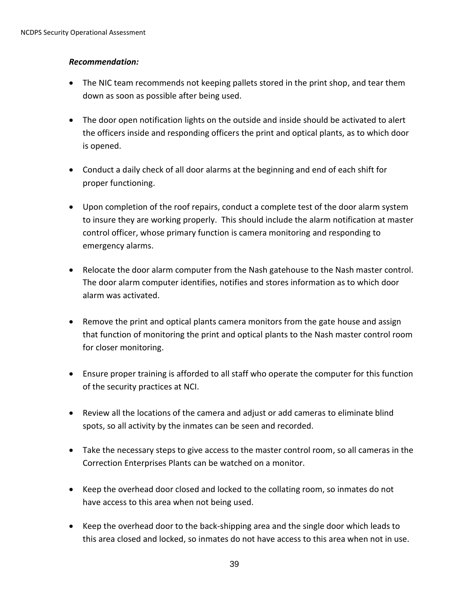## *Recommendation:*

- The NIC team recommends not keeping pallets stored in the print shop, and tear them down as soon as possible after being used.
- The door open notification lights on the outside and inside should be activated to alert the officers inside and responding officers the print and optical plants, as to which door is opened.
- Conduct a daily check of all door alarms at the beginning and end of each shift for proper functioning.
- Upon completion of the roof repairs, conduct a complete test of the door alarm system to insure they are working properly. This should include the alarm notification at master control officer, whose primary function is camera monitoring and responding to emergency alarms.
- Relocate the door alarm computer from the Nash gatehouse to the Nash master control. The door alarm computer identifies, notifies and stores information as to which door alarm was activated.
- Remove the print and optical plants camera monitors from the gate house and assign that function of monitoring the print and optical plants to the Nash master control room for closer monitoring.
- Ensure proper training is afforded to all staff who operate the computer for this function of the security practices at NCI.
- Review all the locations of the camera and adjust or add cameras to eliminate blind spots, so all activity by the inmates can be seen and recorded.
- Take the necessary steps to give access to the master control room, so all cameras in the Correction Enterprises Plants can be watched on a monitor.
- Keep the overhead door closed and locked to the collating room, so inmates do not have access to this area when not being used.
- Keep the overhead door to the back-shipping area and the single door which leads to this area closed and locked, so inmates do not have access to this area when not in use.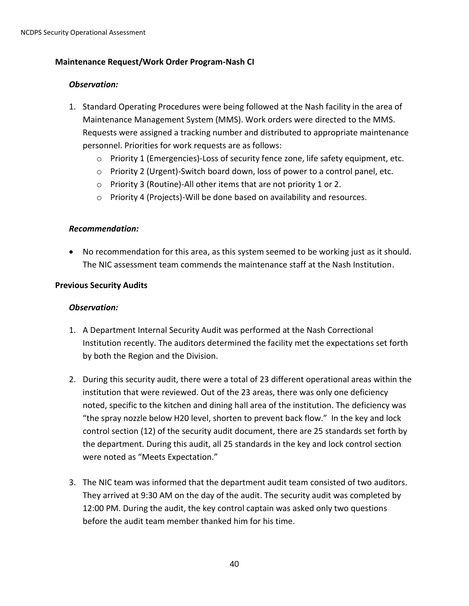### **Maintenance Request/Work Order Program-Nash CI**

#### *Observation:*

- 1. Standard Operating Procedures were being followed at the Nash facility in the area of Maintenance Management System (MMS). Work orders were directed to the MMS. Requests were assigned a tracking number and distributed to appropriate maintenance personnel. Priorities for work requests are as follows:
	- $\circ$  Priority 1 (Emergencies)-Loss of security fence zone, life safety equipment, etc.
	- o Priority 2 (Urgent)-Switch board down, loss of power to a control panel, etc.
	- o Priority 3 (Routine)-All other items that are not priority 1 or 2.
	- o Priority 4 (Projects)-Will be done based on availability and resources.

#### *Recommendation:*

 No recommendation for this area, as this system seemed to be working just as it should. The NIC assessment team commends the maintenance staff at the Nash Institution.

#### **Previous Security Audits**

- 1. A Department Internal Security Audit was performed at the Nash Correctional Institution recently. The auditors determined the facility met the expectations set forth by both the Region and the Division.
- 2. During this security audit, there were a total of 23 different operational areas within the institution that were reviewed. Out of the 23 areas, there was only one deficiency noted, specific to the kitchen and dining hall area of the institution. The deficiency was "the spray nozzle below H20 level, shorten to prevent back flow." In the key and lock control section (12) of the security audit document, there are 25 standards set forth by the department. During this audit, all 25 standards in the key and lock control section were noted as "Meets Expectation."
- 3. The NIC team was informed that the department audit team consisted of two auditors. They arrived at 9:30 AM on the day of the audit. The security audit was completed by 12:00 PM. During the audit, the key control captain was asked only two questions before the audit team member thanked him for his time.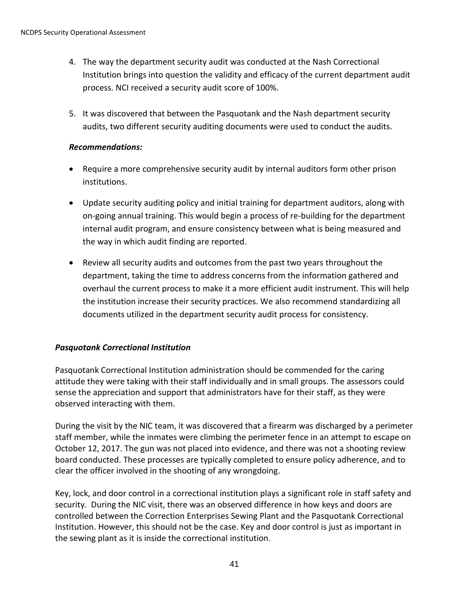- 4. The way the department security audit was conducted at the Nash Correctional Institution brings into question the validity and efficacy of the current department audit process. NCI received a security audit score of 100%.
- 5. It was discovered that between the Pasquotank and the Nash department security audits, two different security auditing documents were used to conduct the audits.

## *Recommendations:*

- Require a more comprehensive security audit by internal auditors form other prison institutions.
- Update security auditing policy and initial training for department auditors, along with on-going annual training. This would begin a process of re-building for the department internal audit program, and ensure consistency between what is being measured and the way in which audit finding are reported.
- Review all security audits and outcomes from the past two years throughout the department, taking the time to address concerns from the information gathered and overhaul the current process to make it a more efficient audit instrument. This will help the institution increase their security practices. We also recommend standardizing all documents utilized in the department security audit process for consistency.

# *Pasquotank Correctional Institution*

Pasquotank Correctional Institution administration should be commended for the caring attitude they were taking with their staff individually and in small groups. The assessors could sense the appreciation and support that administrators have for their staff, as they were observed interacting with them.

During the visit by the NIC team, it was discovered that a firearm was discharged by a perimeter staff member, while the inmates were climbing the perimeter fence in an attempt to escape on October 12, 2017. The gun was not placed into evidence, and there was not a shooting review board conducted. These processes are typically completed to ensure policy adherence, and to clear the officer involved in the shooting of any wrongdoing.

Key, lock, and door control in a correctional institution plays a significant role in staff safety and security. During the NIC visit, there was an observed difference in how keys and doors are controlled between the Correction Enterprises Sewing Plant and the Pasquotank Correctional Institution. However, this should not be the case. Key and door control is just as important in the sewing plant as it is inside the correctional institution.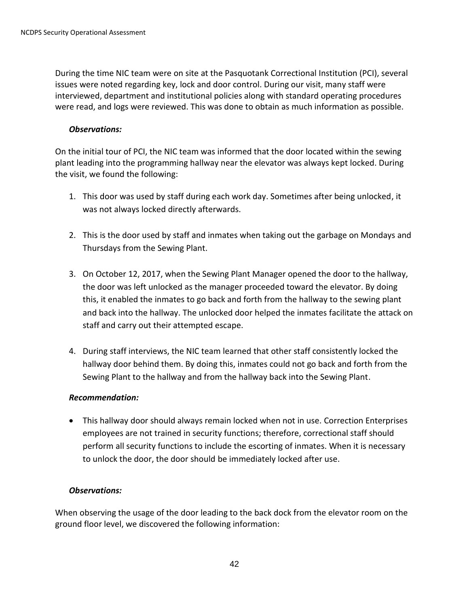During the time NIC team were on site at the Pasquotank Correctional Institution (PCI), several issues were noted regarding key, lock and door control. During our visit, many staff were interviewed, department and institutional policies along with standard operating procedures were read, and logs were reviewed. This was done to obtain as much information as possible.

#### *Observations:*

On the initial tour of PCI, the NIC team was informed that the door located within the sewing plant leading into the programming hallway near the elevator was always kept locked. During the visit, we found the following:

- 1. This door was used by staff during each work day. Sometimes after being unlocked, it was not always locked directly afterwards.
- 2. This is the door used by staff and inmates when taking out the garbage on Mondays and Thursdays from the Sewing Plant.
- 3. On October 12, 2017, when the Sewing Plant Manager opened the door to the hallway, the door was left unlocked as the manager proceeded toward the elevator. By doing this, it enabled the inmates to go back and forth from the hallway to the sewing plant and back into the hallway. The unlocked door helped the inmates facilitate the attack on staff and carry out their attempted escape.
- 4. During staff interviews, the NIC team learned that other staff consistently locked the hallway door behind them. By doing this, inmates could not go back and forth from the Sewing Plant to the hallway and from the hallway back into the Sewing Plant.

#### *Recommendation:*

 This hallway door should always remain locked when not in use. Correction Enterprises employees are not trained in security functions; therefore, correctional staff should perform all security functions to include the escorting of inmates. When it is necessary to unlock the door, the door should be immediately locked after use.

#### *Observations:*

When observing the usage of the door leading to the back dock from the elevator room on the ground floor level, we discovered the following information: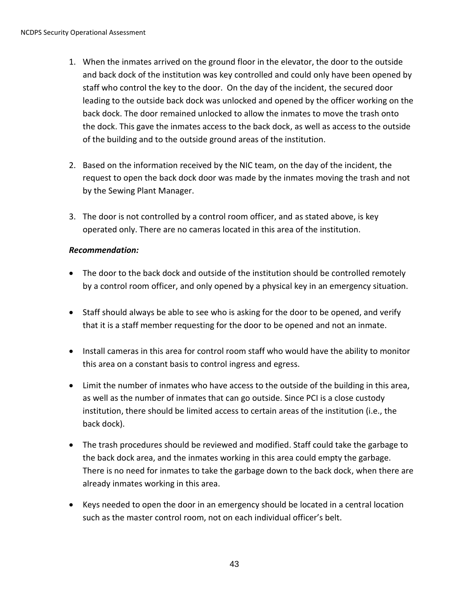- 1. When the inmates arrived on the ground floor in the elevator, the door to the outside and back dock of the institution was key controlled and could only have been opened by staff who control the key to the door. On the day of the incident, the secured door leading to the outside back dock was unlocked and opened by the officer working on the back dock. The door remained unlocked to allow the inmates to move the trash onto the dock. This gave the inmates access to the back dock, as well as access to the outside of the building and to the outside ground areas of the institution.
- 2. Based on the information received by the NIC team, on the day of the incident, the request to open the back dock door was made by the inmates moving the trash and not by the Sewing Plant Manager.
- 3. The door is not controlled by a control room officer, and as stated above, is key operated only. There are no cameras located in this area of the institution.

## *Recommendation:*

- The door to the back dock and outside of the institution should be controlled remotely by a control room officer, and only opened by a physical key in an emergency situation.
- Staff should always be able to see who is asking for the door to be opened, and verify that it is a staff member requesting for the door to be opened and not an inmate.
- Install cameras in this area for control room staff who would have the ability to monitor this area on a constant basis to control ingress and egress.
- Limit the number of inmates who have access to the outside of the building in this area, as well as the number of inmates that can go outside. Since PCI is a close custody institution, there should be limited access to certain areas of the institution (i.e., the back dock).
- The trash procedures should be reviewed and modified. Staff could take the garbage to the back dock area, and the inmates working in this area could empty the garbage. There is no need for inmates to take the garbage down to the back dock, when there are already inmates working in this area.
- Keys needed to open the door in an emergency should be located in a central location such as the master control room, not on each individual officer's belt.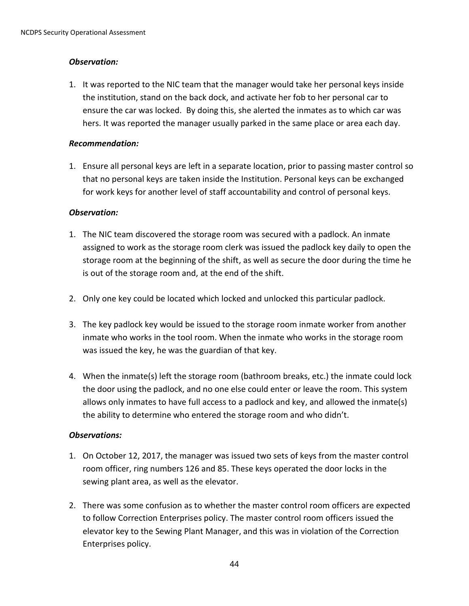## *Observation:*

1. It was reported to the NIC team that the manager would take her personal keys inside the institution, stand on the back dock, and activate her fob to her personal car to ensure the car was locked. By doing this, she alerted the inmates as to which car was hers. It was reported the manager usually parked in the same place or area each day.

## *Recommendation:*

1. Ensure all personal keys are left in a separate location, prior to passing master control so that no personal keys are taken inside the Institution. Personal keys can be exchanged for work keys for another level of staff accountability and control of personal keys.

# *Observation:*

- 1. The NIC team discovered the storage room was secured with a padlock. An inmate assigned to work as the storage room clerk was issued the padlock key daily to open the storage room at the beginning of the shift, as well as secure the door during the time he is out of the storage room and, at the end of the shift.
- 2. Only one key could be located which locked and unlocked this particular padlock.
- 3. The key padlock key would be issued to the storage room inmate worker from another inmate who works in the tool room. When the inmate who works in the storage room was issued the key, he was the guardian of that key.
- 4. When the inmate(s) left the storage room (bathroom breaks, etc.) the inmate could lock the door using the padlock, and no one else could enter or leave the room. This system allows only inmates to have full access to a padlock and key, and allowed the inmate(s) the ability to determine who entered the storage room and who didn't.

- 1. On October 12, 2017, the manager was issued two sets of keys from the master control room officer, ring numbers 126 and 85. These keys operated the door locks in the sewing plant area, as well as the elevator.
- 2. There was some confusion as to whether the master control room officers are expected to follow Correction Enterprises policy. The master control room officers issued the elevator key to the Sewing Plant Manager, and this was in violation of the Correction Enterprises policy.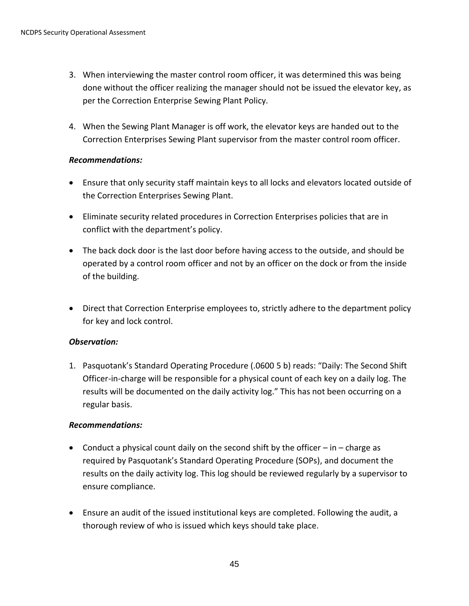- 3. When interviewing the master control room officer, it was determined this was being done without the officer realizing the manager should not be issued the elevator key, as per the Correction Enterprise Sewing Plant Policy.
- 4. When the Sewing Plant Manager is off work, the elevator keys are handed out to the Correction Enterprises Sewing Plant supervisor from the master control room officer.

## *Recommendations:*

- Ensure that only security staff maintain keys to all locks and elevators located outside of the Correction Enterprises Sewing Plant.
- Eliminate security related procedures in Correction Enterprises policies that are in conflict with the department's policy.
- The back dock door is the last door before having access to the outside, and should be operated by a control room officer and not by an officer on the dock or from the inside of the building.
- Direct that Correction Enterprise employees to, strictly adhere to the department policy for key and lock control.

## *Observation:*

1. Pasquotank's Standard Operating Procedure (.0600 5 b) reads: "Daily: The Second Shift Officer-in-charge will be responsible for a physical count of each key on a daily log. The results will be documented on the daily activity log." This has not been occurring on a regular basis.

## *Recommendations:*

- **•** Conduct a physical count daily on the second shift by the officer  $-$  in  $-$  charge as required by Pasquotank's Standard Operating Procedure (SOPs), and document the results on the daily activity log. This log should be reviewed regularly by a supervisor to ensure compliance.
- Ensure an audit of the issued institutional keys are completed. Following the audit, a thorough review of who is issued which keys should take place.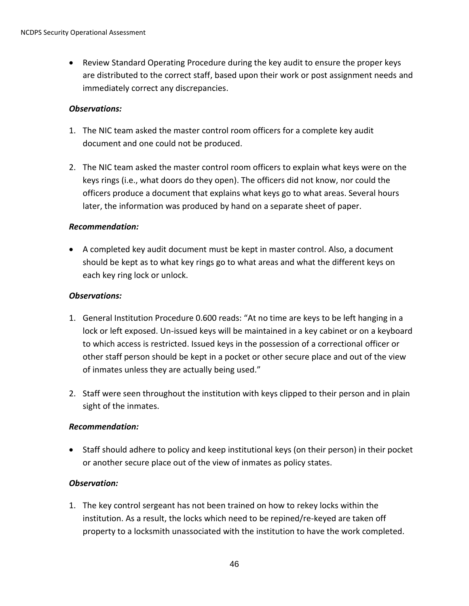Review Standard Operating Procedure during the key audit to ensure the proper keys are distributed to the correct staff, based upon their work or post assignment needs and immediately correct any discrepancies.

### *Observations:*

- 1. The NIC team asked the master control room officers for a complete key audit document and one could not be produced.
- 2. The NIC team asked the master control room officers to explain what keys were on the keys rings (i.e., what doors do they open). The officers did not know, nor could the officers produce a document that explains what keys go to what areas. Several hours later, the information was produced by hand on a separate sheet of paper.

## *Recommendation:*

 A completed key audit document must be kept in master control. Also, a document should be kept as to what key rings go to what areas and what the different keys on each key ring lock or unlock.

#### *Observations:*

- 1. General Institution Procedure 0.600 reads: "At no time are keys to be left hanging in a lock or left exposed. Un-issued keys will be maintained in a key cabinet or on a keyboard to which access is restricted. Issued keys in the possession of a correctional officer or other staff person should be kept in a pocket or other secure place and out of the view of inmates unless they are actually being used."
- 2. Staff were seen throughout the institution with keys clipped to their person and in plain sight of the inmates.

## *Recommendation:*

 Staff should adhere to policy and keep institutional keys (on their person) in their pocket or another secure place out of the view of inmates as policy states.

#### *Observation:*

1. The key control sergeant has not been trained on how to rekey locks within the institution. As a result, the locks which need to be repined/re-keyed are taken off property to a locksmith unassociated with the institution to have the work completed.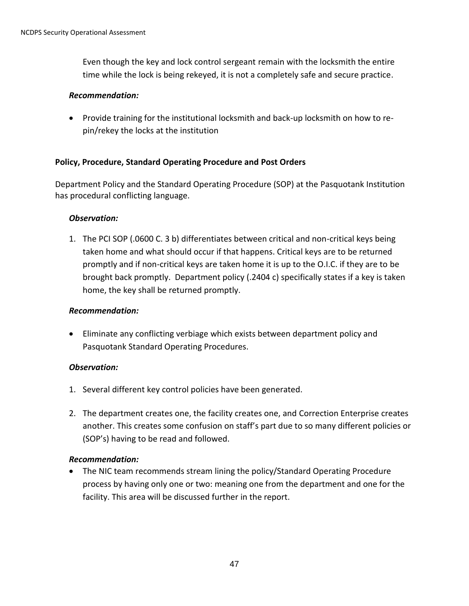Even though the key and lock control sergeant remain with the locksmith the entire time while the lock is being rekeyed, it is not a completely safe and secure practice.

#### *Recommendation:*

 Provide training for the institutional locksmith and back-up locksmith on how to repin/rekey the locks at the institution

## **Policy, Procedure, Standard Operating Procedure and Post Orders**

Department Policy and the Standard Operating Procedure (SOP) at the Pasquotank Institution has procedural conflicting language.

#### *Observation:*

1. The PCI SOP (.0600 C. 3 b) differentiates between critical and non-critical keys being taken home and what should occur if that happens. Critical keys are to be returned promptly and if non-critical keys are taken home it is up to the O.I.C. if they are to be brought back promptly. Department policy (.2404 c) specifically states if a key is taken home, the key shall be returned promptly.

## *Recommendation:*

 Eliminate any conflicting verbiage which exists between department policy and Pasquotank Standard Operating Procedures.

#### *Observation:*

- 1. Several different key control policies have been generated.
- 2. The department creates one, the facility creates one, and Correction Enterprise creates another. This creates some confusion on staff's part due to so many different policies or (SOP's) having to be read and followed.

## *Recommendation:*

 The NIC team recommends stream lining the policy/Standard Operating Procedure process by having only one or two: meaning one from the department and one for the facility. This area will be discussed further in the report.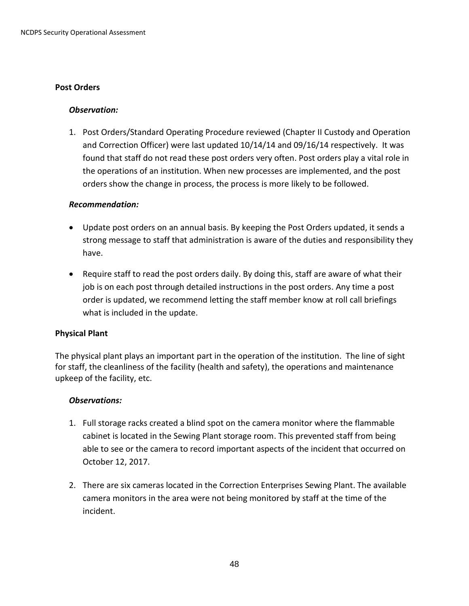#### **Post Orders**

#### *Observation:*

1. Post Orders/Standard Operating Procedure reviewed (Chapter II Custody and Operation and Correction Officer) were last updated 10/14/14 and 09/16/14 respectively. It was found that staff do not read these post orders very often. Post orders play a vital role in the operations of an institution. When new processes are implemented, and the post orders show the change in process, the process is more likely to be followed.

#### *Recommendation:*

- Update post orders on an annual basis. By keeping the Post Orders updated, it sends a strong message to staff that administration is aware of the duties and responsibility they have.
- Require staff to read the post orders daily. By doing this, staff are aware of what their job is on each post through detailed instructions in the post orders. Any time a post order is updated, we recommend letting the staff member know at roll call briefings what is included in the update.

#### **Physical Plant**

The physical plant plays an important part in the operation of the institution. The line of sight for staff, the cleanliness of the facility (health and safety), the operations and maintenance upkeep of the facility, etc.

- 1. Full storage racks created a blind spot on the camera monitor where the flammable cabinet is located in the Sewing Plant storage room. This prevented staff from being able to see or the camera to record important aspects of the incident that occurred on October 12, 2017.
- 2. There are six cameras located in the Correction Enterprises Sewing Plant. The available camera monitors in the area were not being monitored by staff at the time of the incident.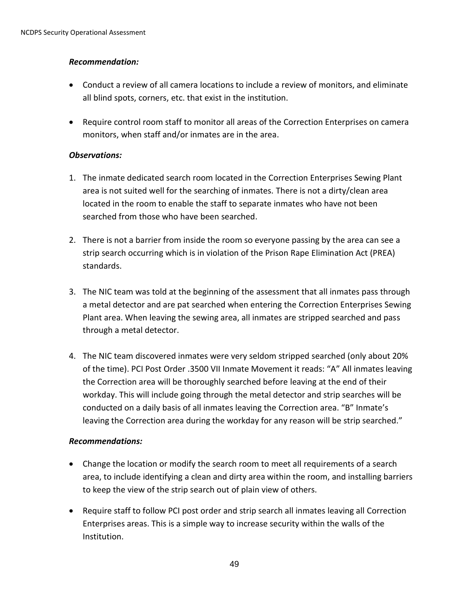## *Recommendation:*

- Conduct a review of all camera locations to include a review of monitors, and eliminate all blind spots, corners, etc. that exist in the institution.
- Require control room staff to monitor all areas of the Correction Enterprises on camera monitors, when staff and/or inmates are in the area.

## *Observations:*

- 1. The inmate dedicated search room located in the Correction Enterprises Sewing Plant area is not suited well for the searching of inmates. There is not a dirty/clean area located in the room to enable the staff to separate inmates who have not been searched from those who have been searched.
- 2. There is not a barrier from inside the room so everyone passing by the area can see a strip search occurring which is in violation of the Prison Rape Elimination Act (PREA) standards.
- 3. The NIC team was told at the beginning of the assessment that all inmates pass through a metal detector and are pat searched when entering the Correction Enterprises Sewing Plant area. When leaving the sewing area, all inmates are stripped searched and pass through a metal detector.
- 4. The NIC team discovered inmates were very seldom stripped searched (only about 20% of the time). PCI Post Order .3500 VII Inmate Movement it reads: "A" All inmates leaving the Correction area will be thoroughly searched before leaving at the end of their workday. This will include going through the metal detector and strip searches will be conducted on a daily basis of all inmates leaving the Correction area. "B" Inmate's leaving the Correction area during the workday for any reason will be strip searched."

## *Recommendations:*

- Change the location or modify the search room to meet all requirements of a search area, to include identifying a clean and dirty area within the room, and installing barriers to keep the view of the strip search out of plain view of others.
- Require staff to follow PCI post order and strip search all inmates leaving all Correction Enterprises areas. This is a simple way to increase security within the walls of the Institution.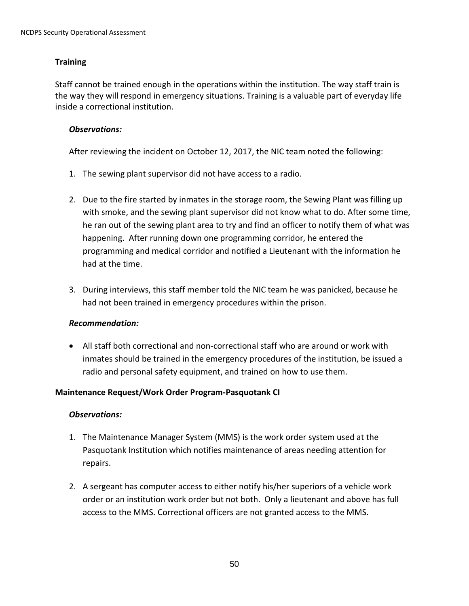## **Training**

Staff cannot be trained enough in the operations within the institution. The way staff train is the way they will respond in emergency situations. Training is a valuable part of everyday life inside a correctional institution.

#### *Observations:*

After reviewing the incident on October 12, 2017, the NIC team noted the following:

- 1. The sewing plant supervisor did not have access to a radio.
- 2. Due to the fire started by inmates in the storage room, the Sewing Plant was filling up with smoke, and the sewing plant supervisor did not know what to do. After some time, he ran out of the sewing plant area to try and find an officer to notify them of what was happening. After running down one programming corridor, he entered the programming and medical corridor and notified a Lieutenant with the information he had at the time.
- 3. During interviews, this staff member told the NIC team he was panicked, because he had not been trained in emergency procedures within the prison.

#### *Recommendation:*

 All staff both correctional and non-correctional staff who are around or work with inmates should be trained in the emergency procedures of the institution, be issued a radio and personal safety equipment, and trained on how to use them.

#### **Maintenance Request/Work Order Program-Pasquotank CI**

- 1. The Maintenance Manager System (MMS) is the work order system used at the Pasquotank Institution which notifies maintenance of areas needing attention for repairs.
- 2. A sergeant has computer access to either notify his/her superiors of a vehicle work order or an institution work order but not both. Only a lieutenant and above has full access to the MMS. Correctional officers are not granted access to the MMS.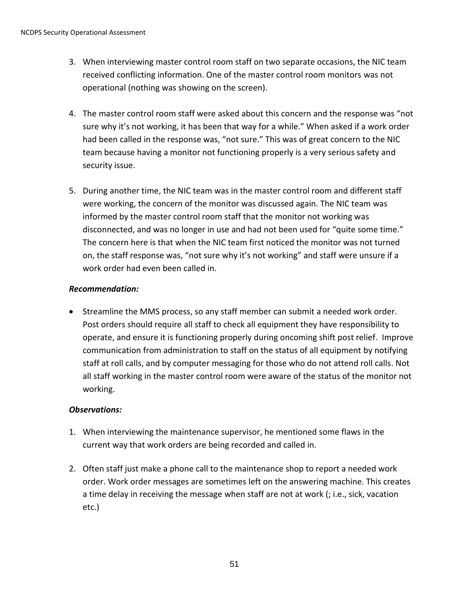- 3. When interviewing master control room staff on two separate occasions, the NIC team received conflicting information. One of the master control room monitors was not operational (nothing was showing on the screen).
- 4. The master control room staff were asked about this concern and the response was "not sure why it's not working, it has been that way for a while." When asked if a work order had been called in the response was, "not sure." This was of great concern to the NIC team because having a monitor not functioning properly is a very serious safety and security issue.
- 5. During another time, the NIC team was in the master control room and different staff were working, the concern of the monitor was discussed again. The NIC team was informed by the master control room staff that the monitor not working was disconnected, and was no longer in use and had not been used for "quite some time." The concern here is that when the NIC team first noticed the monitor was not turned on, the staff response was, "not sure why it's not working" and staff were unsure if a work order had even been called in.

## *Recommendation:*

 Streamline the MMS process, so any staff member can submit a needed work order. Post orders should require all staff to check all equipment they have responsibility to operate, and ensure it is functioning properly during oncoming shift post relief. Improve communication from administration to staff on the status of all equipment by notifying staff at roll calls, and by computer messaging for those who do not attend roll calls. Not all staff working in the master control room were aware of the status of the monitor not working.

- 1. When interviewing the maintenance supervisor, he mentioned some flaws in the current way that work orders are being recorded and called in.
- 2. Often staff just make a phone call to the maintenance shop to report a needed work order. Work order messages are sometimes left on the answering machine. This creates a time delay in receiving the message when staff are not at work (; i.e., sick, vacation etc.)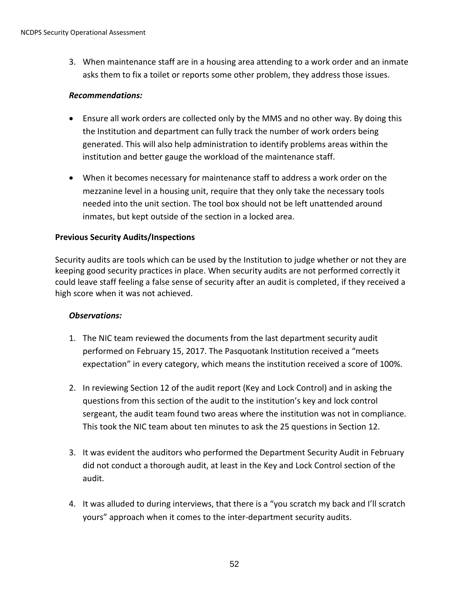3. When maintenance staff are in a housing area attending to a work order and an inmate asks them to fix a toilet or reports some other problem, they address those issues.

#### *Recommendations:*

- Ensure all work orders are collected only by the MMS and no other way. By doing this the Institution and department can fully track the number of work orders being generated. This will also help administration to identify problems areas within the institution and better gauge the workload of the maintenance staff.
- When it becomes necessary for maintenance staff to address a work order on the mezzanine level in a housing unit, require that they only take the necessary tools needed into the unit section. The tool box should not be left unattended around inmates, but kept outside of the section in a locked area.

## **Previous Security Audits/Inspections**

Security audits are tools which can be used by the Institution to judge whether or not they are keeping good security practices in place. When security audits are not performed correctly it could leave staff feeling a false sense of security after an audit is completed, if they received a high score when it was not achieved.

- 1. The NIC team reviewed the documents from the last department security audit performed on February 15, 2017. The Pasquotank Institution received a "meets expectation" in every category, which means the institution received a score of 100%.
- 2. In reviewing Section 12 of the audit report (Key and Lock Control) and in asking the questions from this section of the audit to the institution's key and lock control sergeant, the audit team found two areas where the institution was not in compliance. This took the NIC team about ten minutes to ask the 25 questions in Section 12.
- 3. It was evident the auditors who performed the Department Security Audit in February did not conduct a thorough audit, at least in the Key and Lock Control section of the audit.
- 4. It was alluded to during interviews, that there is a "you scratch my back and I'll scratch yours" approach when it comes to the inter-department security audits.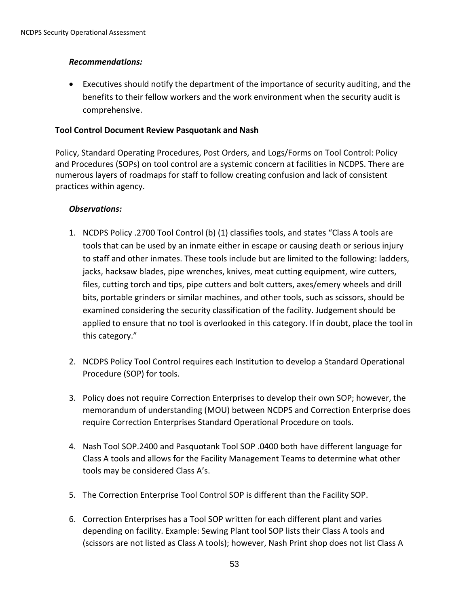### *Recommendations:*

 Executives should notify the department of the importance of security auditing, and the benefits to their fellow workers and the work environment when the security audit is comprehensive.

#### **Tool Control Document Review Pasquotank and Nash**

Policy, Standard Operating Procedures, Post Orders, and Logs/Forms on Tool Control: Policy and Procedures (SOPs) on tool control are a systemic concern at facilities in NCDPS. There are numerous layers of roadmaps for staff to follow creating confusion and lack of consistent practices within agency.

- 1. NCDPS Policy .2700 Tool Control (b) (1) classifies tools, and states "Class A tools are tools that can be used by an inmate either in escape or causing death or serious injury to staff and other inmates. These tools include but are limited to the following: ladders, jacks, hacksaw blades, pipe wrenches, knives, meat cutting equipment, wire cutters, files, cutting torch and tips, pipe cutters and bolt cutters, axes/emery wheels and drill bits, portable grinders or similar machines, and other tools, such as scissors, should be examined considering the security classification of the facility. Judgement should be applied to ensure that no tool is overlooked in this category. If in doubt, place the tool in this category."
- 2. NCDPS Policy Tool Control requires each Institution to develop a Standard Operational Procedure (SOP) for tools.
- 3. Policy does not require Correction Enterprises to develop their own SOP; however, the memorandum of understanding (MOU) between NCDPS and Correction Enterprise does require Correction Enterprises Standard Operational Procedure on tools.
- 4. Nash Tool SOP.2400 and Pasquotank Tool SOP .0400 both have different language for Class A tools and allows for the Facility Management Teams to determine what other tools may be considered Class A's.
- 5. The Correction Enterprise Tool Control SOP is different than the Facility SOP.
- 6. Correction Enterprises has a Tool SOP written for each different plant and varies depending on facility. Example: Sewing Plant tool SOP lists their Class A tools and (scissors are not listed as Class A tools); however, Nash Print shop does not list Class A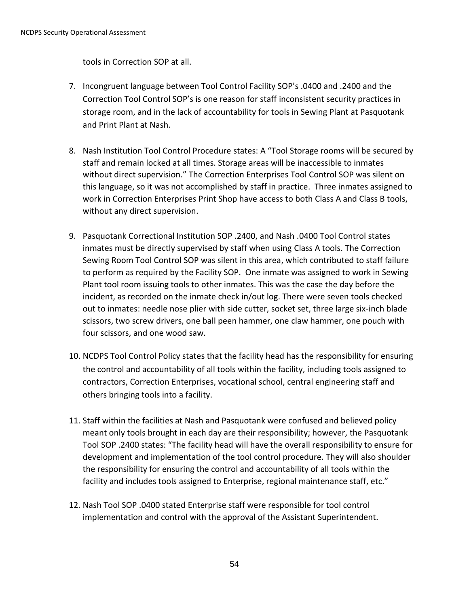tools in Correction SOP at all.

- 7. Incongruent language between Tool Control Facility SOP's .0400 and .2400 and the Correction Tool Control SOP's is one reason for staff inconsistent security practices in storage room, and in the lack of accountability for tools in Sewing Plant at Pasquotank and Print Plant at Nash.
- 8. Nash Institution Tool Control Procedure states: A "Tool Storage rooms will be secured by staff and remain locked at all times. Storage areas will be inaccessible to inmates without direct supervision." The Correction Enterprises Tool Control SOP was silent on this language, so it was not accomplished by staff in practice. Three inmates assigned to work in Correction Enterprises Print Shop have access to both Class A and Class B tools, without any direct supervision.
- 9. Pasquotank Correctional Institution SOP .2400, and Nash .0400 Tool Control states inmates must be directly supervised by staff when using Class A tools. The Correction Sewing Room Tool Control SOP was silent in this area, which contributed to staff failure to perform as required by the Facility SOP. One inmate was assigned to work in Sewing Plant tool room issuing tools to other inmates. This was the case the day before the incident, as recorded on the inmate check in/out log. There were seven tools checked out to inmates: needle nose plier with side cutter, socket set, three large six-inch blade scissors, two screw drivers, one ball peen hammer, one claw hammer, one pouch with four scissors, and one wood saw.
- 10. NCDPS Tool Control Policy states that the facility head has the responsibility for ensuring the control and accountability of all tools within the facility, including tools assigned to contractors, Correction Enterprises, vocational school, central engineering staff and others bringing tools into a facility.
- 11. Staff within the facilities at Nash and Pasquotank were confused and believed policy meant only tools brought in each day are their responsibility; however, the Pasquotank Tool SOP .2400 states: "The facility head will have the overall responsibility to ensure for development and implementation of the tool control procedure. They will also shoulder the responsibility for ensuring the control and accountability of all tools within the facility and includes tools assigned to Enterprise, regional maintenance staff, etc."
- 12. Nash Tool SOP .0400 stated Enterprise staff were responsible for tool control implementation and control with the approval of the Assistant Superintendent.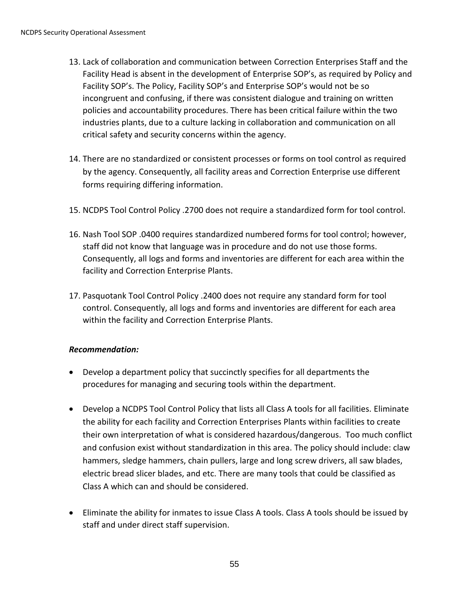- 13. Lack of collaboration and communication between Correction Enterprises Staff and the Facility Head is absent in the development of Enterprise SOP's, as required by Policy and Facility SOP's. The Policy, Facility SOP's and Enterprise SOP's would not be so incongruent and confusing, if there was consistent dialogue and training on written policies and accountability procedures. There has been critical failure within the two industries plants, due to a culture lacking in collaboration and communication on all critical safety and security concerns within the agency.
- 14. There are no standardized or consistent processes or forms on tool control as required by the agency. Consequently, all facility areas and Correction Enterprise use different forms requiring differing information.
- 15. NCDPS Tool Control Policy .2700 does not require a standardized form for tool control.
- 16. Nash Tool SOP .0400 requires standardized numbered forms for tool control; however, staff did not know that language was in procedure and do not use those forms. Consequently, all logs and forms and inventories are different for each area within the facility and Correction Enterprise Plants.
- 17. Pasquotank Tool Control Policy .2400 does not require any standard form for tool control. Consequently, all logs and forms and inventories are different for each area within the facility and Correction Enterprise Plants.

## *Recommendation:*

- Develop a department policy that succinctly specifies for all departments the procedures for managing and securing tools within the department.
- Develop a NCDPS Tool Control Policy that lists all Class A tools for all facilities. Eliminate the ability for each facility and Correction Enterprises Plants within facilities to create their own interpretation of what is considered hazardous/dangerous. Too much conflict and confusion exist without standardization in this area. The policy should include: claw hammers, sledge hammers, chain pullers, large and long screw drivers, all saw blades, electric bread slicer blades, and etc. There are many tools that could be classified as Class A which can and should be considered.
- Eliminate the ability for inmates to issue Class A tools. Class A tools should be issued by staff and under direct staff supervision.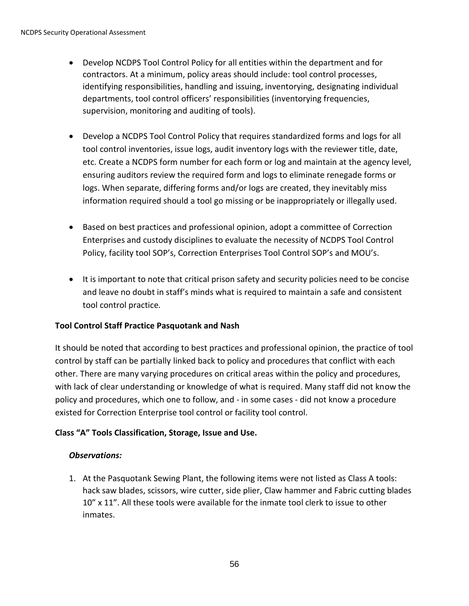- Develop NCDPS Tool Control Policy for all entities within the department and for contractors. At a minimum, policy areas should include: tool control processes, identifying responsibilities, handling and issuing, inventorying, designating individual departments, tool control officers' responsibilities (inventorying frequencies, supervision, monitoring and auditing of tools).
- Develop a NCDPS Tool Control Policy that requires standardized forms and logs for all tool control inventories, issue logs, audit inventory logs with the reviewer title, date, etc. Create a NCDPS form number for each form or log and maintain at the agency level, ensuring auditors review the required form and logs to eliminate renegade forms or logs. When separate, differing forms and/or logs are created, they inevitably miss information required should a tool go missing or be inappropriately or illegally used.
- Based on best practices and professional opinion, adopt a committee of Correction Enterprises and custody disciplines to evaluate the necessity of NCDPS Tool Control Policy, facility tool SOP's, Correction Enterprises Tool Control SOP's and MOU's.
- It is important to note that critical prison safety and security policies need to be concise and leave no doubt in staff's minds what is required to maintain a safe and consistent tool control practice*.*

## **Tool Control Staff Practice Pasquotank and Nash**

It should be noted that according to best practices and professional opinion, the practice of tool control by staff can be partially linked back to policy and procedures that conflict with each other. There are many varying procedures on critical areas within the policy and procedures, with lack of clear understanding or knowledge of what is required. Many staff did not know the policy and procedures, which one to follow, and - in some cases - did not know a procedure existed for Correction Enterprise tool control or facility tool control.

## **Class "A" Tools Classification, Storage, Issue and Use.**

## *Observations:*

1. At the Pasquotank Sewing Plant, the following items were not listed as Class A tools: hack saw blades, scissors, wire cutter, side plier, Claw hammer and Fabric cutting blades 10" x 11". All these tools were available for the inmate tool clerk to issue to other inmates.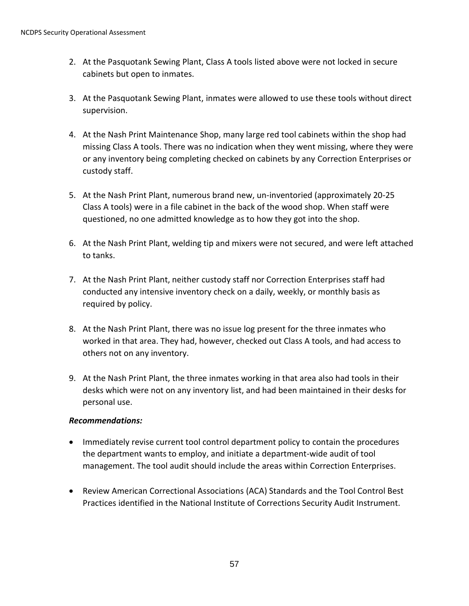- 2. At the Pasquotank Sewing Plant, Class A tools listed above were not locked in secure cabinets but open to inmates.
- 3. At the Pasquotank Sewing Plant, inmates were allowed to use these tools without direct supervision.
- 4. At the Nash Print Maintenance Shop, many large red tool cabinets within the shop had missing Class A tools. There was no indication when they went missing, where they were or any inventory being completing checked on cabinets by any Correction Enterprises or custody staff.
- 5. At the Nash Print Plant, numerous brand new, un-inventoried (approximately 20-25 Class A tools) were in a file cabinet in the back of the wood shop. When staff were questioned, no one admitted knowledge as to how they got into the shop.
- 6. At the Nash Print Plant, welding tip and mixers were not secured, and were left attached to tanks.
- 7. At the Nash Print Plant, neither custody staff nor Correction Enterprises staff had conducted any intensive inventory check on a daily, weekly, or monthly basis as required by policy.
- 8. At the Nash Print Plant, there was no issue log present for the three inmates who worked in that area. They had, however, checked out Class A tools, and had access to others not on any inventory.
- 9. At the Nash Print Plant, the three inmates working in that area also had tools in their desks which were not on any inventory list, and had been maintained in their desks for personal use.

## *Recommendations:*

- Immediately revise current tool control department policy to contain the procedures the department wants to employ, and initiate a department-wide audit of tool management. The tool audit should include the areas within Correction Enterprises.
- Review American Correctional Associations (ACA) Standards and the Tool Control Best Practices identified in the National Institute of Corrections Security Audit Instrument.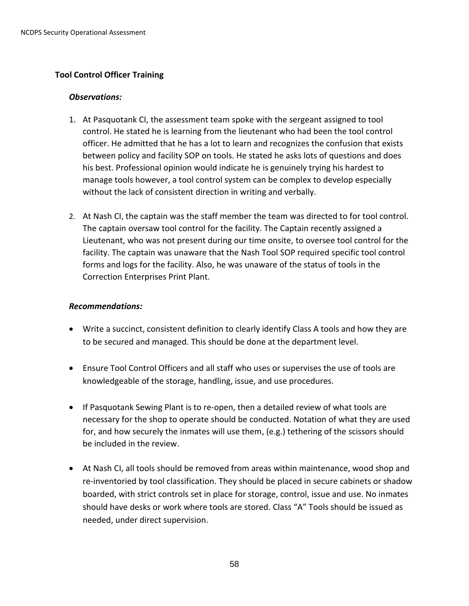### **Tool Control Officer Training**

#### *Observations:*

- 1. At Pasquotank CI, the assessment team spoke with the sergeant assigned to tool control. He stated he is learning from the lieutenant who had been the tool control officer. He admitted that he has a lot to learn and recognizes the confusion that exists between policy and facility SOP on tools. He stated he asks lots of questions and does his best. Professional opinion would indicate he is genuinely trying his hardest to manage tools however, a tool control system can be complex to develop especially without the lack of consistent direction in writing and verbally.
- 2. At Nash CI, the captain was the staff member the team was directed to for tool control. The captain oversaw tool control for the facility. The Captain recently assigned a Lieutenant, who was not present during our time onsite, to oversee tool control for the facility. The captain was unaware that the Nash Tool SOP required specific tool control forms and logs for the facility. Also, he was unaware of the status of tools in the Correction Enterprises Print Plant.

#### *Recommendations:*

- Write a succinct, consistent definition to clearly identify Class A tools and how they are to be secured and managed. This should be done at the department level.
- Ensure Tool Control Officers and all staff who uses or supervises the use of tools are knowledgeable of the storage, handling, issue, and use procedures.
- If Pasquotank Sewing Plant is to re-open, then a detailed review of what tools are necessary for the shop to operate should be conducted. Notation of what they are used for, and how securely the inmates will use them, (e.g.) tethering of the scissors should be included in the review.
- At Nash CI, all tools should be removed from areas within maintenance, wood shop and re-inventoried by tool classification. They should be placed in secure cabinets or shadow boarded, with strict controls set in place for storage, control, issue and use. No inmates should have desks or work where tools are stored. Class "A" Tools should be issued as needed, under direct supervision.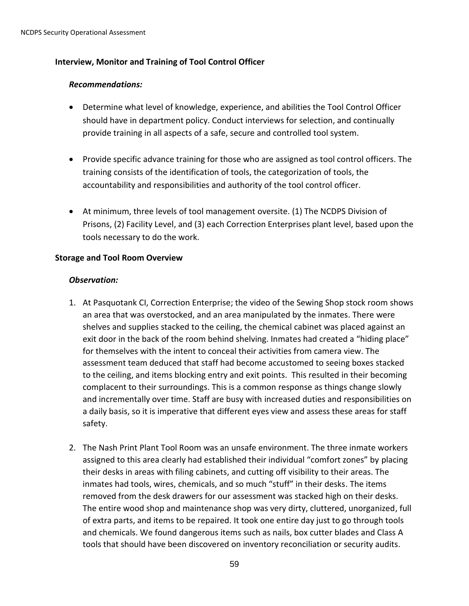#### **Interview, Monitor and Training of Tool Control Officer**

#### *Recommendations:*

- Determine what level of knowledge, experience, and abilities the Tool Control Officer should have in department policy. Conduct interviews for selection, and continually provide training in all aspects of a safe, secure and controlled tool system.
- Provide specific advance training for those who are assigned as tool control officers. The training consists of the identification of tools, the categorization of tools, the accountability and responsibilities and authority of the tool control officer.
- At minimum, three levels of tool management oversite. (1) The NCDPS Division of Prisons, (2) Facility Level, and (3) each Correction Enterprises plant level, based upon the tools necessary to do the work.

#### **Storage and Tool Room Overview**

- 1. At Pasquotank CI, Correction Enterprise; the video of the Sewing Shop stock room shows an area that was overstocked, and an area manipulated by the inmates. There were shelves and supplies stacked to the ceiling, the chemical cabinet was placed against an exit door in the back of the room behind shelving. Inmates had created a "hiding place" for themselves with the intent to conceal their activities from camera view. The assessment team deduced that staff had become accustomed to seeing boxes stacked to the ceiling, and items blocking entry and exit points. This resulted in their becoming complacent to their surroundings. This is a common response as things change slowly and incrementally over time. Staff are busy with increased duties and responsibilities on a daily basis, so it is imperative that different eyes view and assess these areas for staff safety.
- 2. The Nash Print Plant Tool Room was an unsafe environment. The three inmate workers assigned to this area clearly had established their individual "comfort zones" by placing their desks in areas with filing cabinets, and cutting off visibility to their areas. The inmates had tools, wires, chemicals, and so much "stuff" in their desks. The items removed from the desk drawers for our assessment was stacked high on their desks. The entire wood shop and maintenance shop was very dirty, cluttered, unorganized, full of extra parts, and items to be repaired. It took one entire day just to go through tools and chemicals. We found dangerous items such as nails, box cutter blades and Class A tools that should have been discovered on inventory reconciliation or security audits.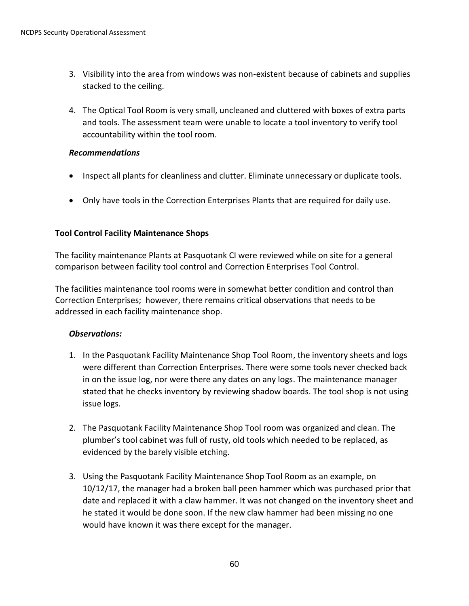- 3. Visibility into the area from windows was non-existent because of cabinets and supplies stacked to the ceiling.
- 4. The Optical Tool Room is very small, uncleaned and cluttered with boxes of extra parts and tools. The assessment team were unable to locate a tool inventory to verify tool accountability within the tool room.

#### *Recommendations*

- Inspect all plants for cleanliness and clutter. Eliminate unnecessary or duplicate tools.
- Only have tools in the Correction Enterprises Plants that are required for daily use.

## **Tool Control Facility Maintenance Shops**

The facility maintenance Plants at Pasquotank CI were reviewed while on site for a general comparison between facility tool control and Correction Enterprises Tool Control.

The facilities maintenance tool rooms were in somewhat better condition and control than Correction Enterprises; however, there remains critical observations that needs to be addressed in each facility maintenance shop.

- 1. In the Pasquotank Facility Maintenance Shop Tool Room, the inventory sheets and logs were different than Correction Enterprises. There were some tools never checked back in on the issue log, nor were there any dates on any logs. The maintenance manager stated that he checks inventory by reviewing shadow boards. The tool shop is not using issue logs.
- 2. The Pasquotank Facility Maintenance Shop Tool room was organized and clean. The plumber's tool cabinet was full of rusty, old tools which needed to be replaced, as evidenced by the barely visible etching.
- 3. Using the Pasquotank Facility Maintenance Shop Tool Room as an example, on 10/12/17, the manager had a broken ball peen hammer which was purchased prior that date and replaced it with a claw hammer. It was not changed on the inventory sheet and he stated it would be done soon. If the new claw hammer had been missing no one would have known it was there except for the manager.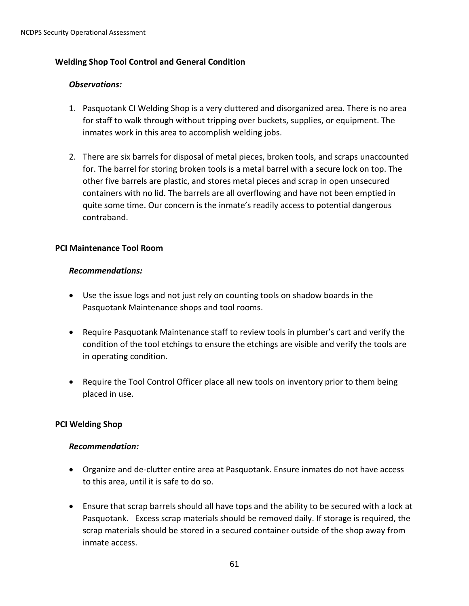## **Welding Shop Tool Control and General Condition**

#### *Observations:*

- 1. Pasquotank CI Welding Shop is a very cluttered and disorganized area. There is no area for staff to walk through without tripping over buckets, supplies, or equipment. The inmates work in this area to accomplish welding jobs.
- 2. There are six barrels for disposal of metal pieces, broken tools, and scraps unaccounted for. The barrel for storing broken tools is a metal barrel with a secure lock on top. The other five barrels are plastic, and stores metal pieces and scrap in open unsecured containers with no lid. The barrels are all overflowing and have not been emptied in quite some time. Our concern is the inmate's readily access to potential dangerous contraband.

#### **PCI Maintenance Tool Room**

#### *Recommendations:*

- Use the issue logs and not just rely on counting tools on shadow boards in the Pasquotank Maintenance shops and tool rooms.
- Require Pasquotank Maintenance staff to review tools in plumber's cart and verify the condition of the tool etchings to ensure the etchings are visible and verify the tools are in operating condition.
- Require the Tool Control Officer place all new tools on inventory prior to them being placed in use.

#### **PCI Welding Shop**

#### *Recommendation:*

- Organize and de-clutter entire area at Pasquotank. Ensure inmates do not have access to this area, until it is safe to do so.
- Ensure that scrap barrels should all have tops and the ability to be secured with a lock at Pasquotank. Excess scrap materials should be removed daily. If storage is required, the scrap materials should be stored in a secured container outside of the shop away from inmate access.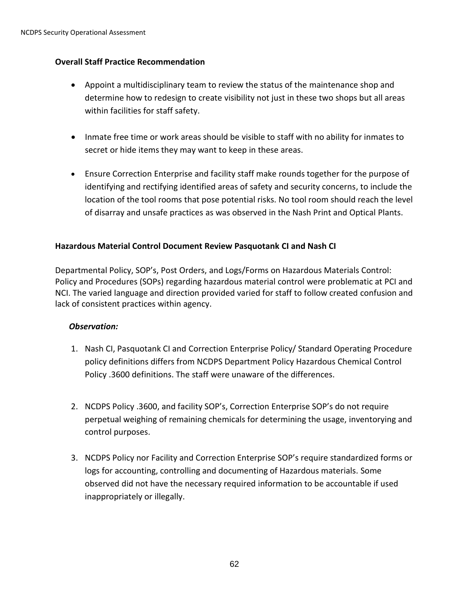## **Overall Staff Practice Recommendation**

- Appoint a multidisciplinary team to review the status of the maintenance shop and determine how to redesign to create visibility not just in these two shops but all areas within facilities for staff safety.
- Inmate free time or work areas should be visible to staff with no ability for inmates to secret or hide items they may want to keep in these areas.
- Ensure Correction Enterprise and facility staff make rounds together for the purpose of identifying and rectifying identified areas of safety and security concerns, to include the location of the tool rooms that pose potential risks. No tool room should reach the level of disarray and unsafe practices as was observed in the Nash Print and Optical Plants.

# **Hazardous Material Control Document Review Pasquotank CI and Nash CI**

Departmental Policy, SOP's, Post Orders, and Logs/Forms on Hazardous Materials Control: Policy and Procedures (SOPs) regarding hazardous material control were problematic at PCI and NCI. The varied language and direction provided varied for staff to follow created confusion and lack of consistent practices within agency.

- 1. Nash CI, Pasquotank CI and Correction Enterprise Policy/ Standard Operating Procedure policy definitions differs from NCDPS Department Policy Hazardous Chemical Control Policy .3600 definitions. The staff were unaware of the differences.
- 2. NCDPS Policy .3600, and facility SOP's, Correction Enterprise SOP's do not require perpetual weighing of remaining chemicals for determining the usage, inventorying and control purposes.
- 3. NCDPS Policy nor Facility and Correction Enterprise SOP's require standardized forms or logs for accounting, controlling and documenting of Hazardous materials. Some observed did not have the necessary required information to be accountable if used inappropriately or illegally.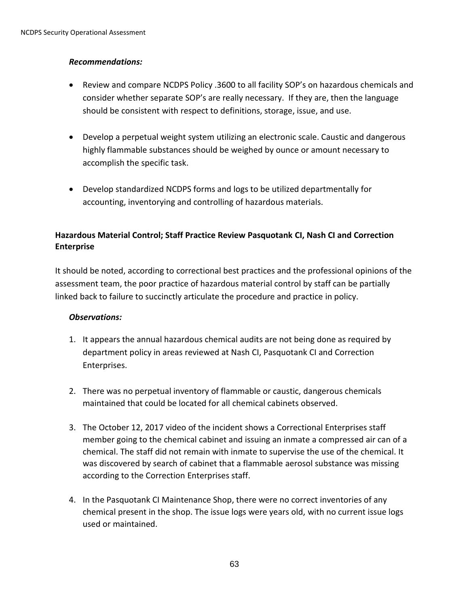## *Recommendations:*

- Review and compare NCDPS Policy .3600 to all facility SOP's on hazardous chemicals and consider whether separate SOP's are really necessary. If they are, then the language should be consistent with respect to definitions, storage, issue, and use.
- Develop a perpetual weight system utilizing an electronic scale. Caustic and dangerous highly flammable substances should be weighed by ounce or amount necessary to accomplish the specific task.
- Develop standardized NCDPS forms and logs to be utilized departmentally for accounting, inventorying and controlling of hazardous materials.

# **Hazardous Material Control; Staff Practice Review Pasquotank CI, Nash CI and Correction Enterprise**

It should be noted, according to correctional best practices and the professional opinions of the assessment team, the poor practice of hazardous material control by staff can be partially linked back to failure to succinctly articulate the procedure and practice in policy.

- 1. It appears the annual hazardous chemical audits are not being done as required by department policy in areas reviewed at Nash CI, Pasquotank CI and Correction Enterprises.
- 2. There was no perpetual inventory of flammable or caustic, dangerous chemicals maintained that could be located for all chemical cabinets observed.
- 3. The October 12, 2017 video of the incident shows a Correctional Enterprises staff member going to the chemical cabinet and issuing an inmate a compressed air can of a chemical. The staff did not remain with inmate to supervise the use of the chemical. It was discovered by search of cabinet that a flammable aerosol substance was missing according to the Correction Enterprises staff.
- 4. In the Pasquotank CI Maintenance Shop, there were no correct inventories of any chemical present in the shop. The issue logs were years old, with no current issue logs used or maintained.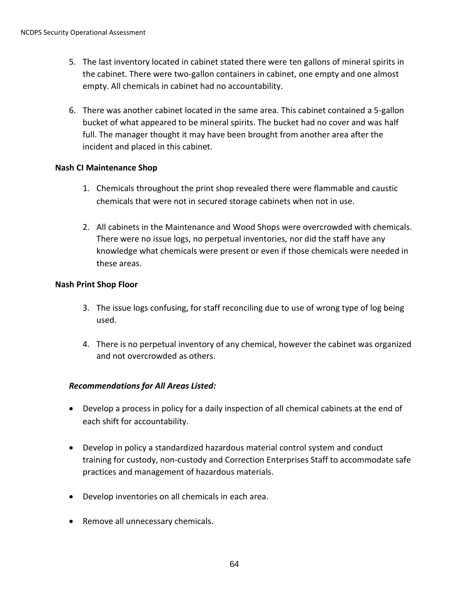- 5. The last inventory located in cabinet stated there were ten gallons of mineral spirits in the cabinet. There were two-gallon containers in cabinet, one empty and one almost empty. All chemicals in cabinet had no accountability.
- 6. There was another cabinet located in the same area. This cabinet contained a 5-gallon bucket of what appeared to be mineral spirits. The bucket had no cover and was half full. The manager thought it may have been brought from another area after the incident and placed in this cabinet.

#### **Nash CI Maintenance Shop**

- 1. Chemicals throughout the print shop revealed there were flammable and caustic chemicals that were not in secured storage cabinets when not in use.
- 2. All cabinets in the Maintenance and Wood Shops were overcrowded with chemicals. There were no issue logs, no perpetual inventories, nor did the staff have any knowledge what chemicals were present or even if those chemicals were needed in these areas.

#### **Nash Print Shop Floor**

- 3. The issue logs confusing, for staff reconciling due to use of wrong type of log being used.
- 4. There is no perpetual inventory of any chemical, however the cabinet was organized and not overcrowded as others.

## *Recommendations for All Areas Listed:*

- Develop a process in policy for a daily inspection of all chemical cabinets at the end of each shift for accountability.
- Develop in policy a standardized hazardous material control system and conduct training for custody, non-custody and Correction Enterprises Staff to accommodate safe practices and management of hazardous materials.
- Develop inventories on all chemicals in each area.
- Remove all unnecessary chemicals.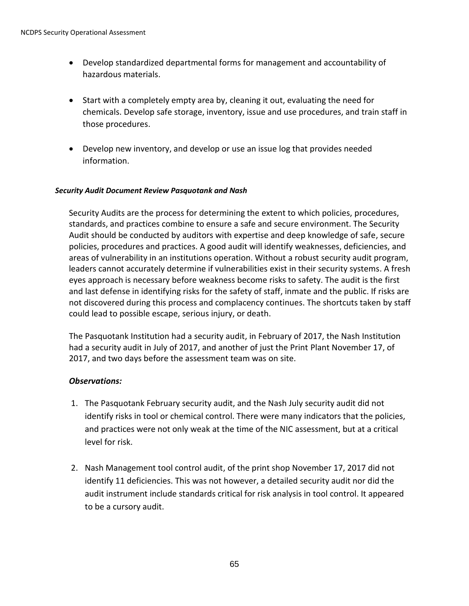- Develop standardized departmental forms for management and accountability of hazardous materials.
- Start with a completely empty area by, cleaning it out, evaluating the need for chemicals. Develop safe storage, inventory, issue and use procedures, and train staff in those procedures.
- Develop new inventory, and develop or use an issue log that provides needed information.

#### *Security Audit Document Review Pasquotank and Nash*

Security Audits are the process for determining the extent to which policies, procedures, standards, and practices combine to ensure a safe and secure environment. The Security Audit should be conducted by auditors with expertise and deep knowledge of safe, secure policies, procedures and practices. A good audit will identify weaknesses, deficiencies, and areas of vulnerability in an institutions operation. Without a robust security audit program, leaders cannot accurately determine if vulnerabilities exist in their security systems. A fresh eyes approach is necessary before weakness become risks to safety. The audit is the first and last defense in identifying risks for the safety of staff, inmate and the public. If risks are not discovered during this process and complacency continues. The shortcuts taken by staff could lead to possible escape, serious injury, or death.

The Pasquotank Institution had a security audit, in February of 2017, the Nash Institution had a security audit in July of 2017, and another of just the Print Plant November 17, of 2017, and two days before the assessment team was on site.

- 1. The Pasquotank February security audit, and the Nash July security audit did not identify risks in tool or chemical control. There were many indicators that the policies, and practices were not only weak at the time of the NIC assessment, but at a critical level for risk.
- 2. Nash Management tool control audit, of the print shop November 17, 2017 did not identify 11 deficiencies. This was not however, a detailed security audit nor did the audit instrument include standards critical for risk analysis in tool control. It appeared to be a cursory audit.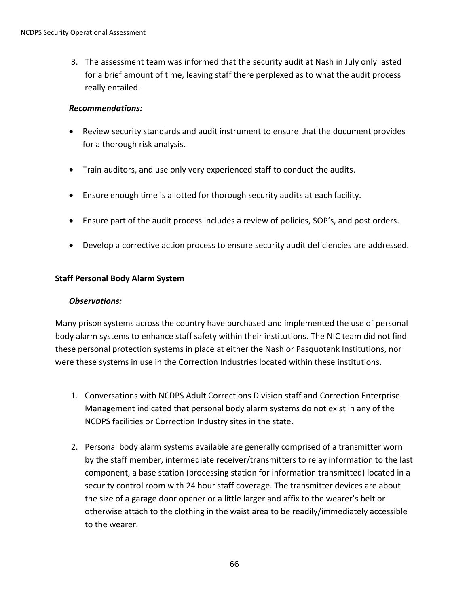3. The assessment team was informed that the security audit at Nash in July only lasted for a brief amount of time, leaving staff there perplexed as to what the audit process really entailed.

#### *Recommendations:*

- Review security standards and audit instrument to ensure that the document provides for a thorough risk analysis.
- Train auditors, and use only very experienced staff to conduct the audits.
- Ensure enough time is allotted for thorough security audits at each facility.
- Ensure part of the audit process includes a review of policies, SOP's, and post orders.
- Develop a corrective action process to ensure security audit deficiencies are addressed.

## **Staff Personal Body Alarm System**

### *Observations:*

Many prison systems across the country have purchased and implemented the use of personal body alarm systems to enhance staff safety within their institutions. The NIC team did not find these personal protection systems in place at either the Nash or Pasquotank Institutions, nor were these systems in use in the Correction Industries located within these institutions.

- 1. Conversations with NCDPS Adult Corrections Division staff and Correction Enterprise Management indicated that personal body alarm systems do not exist in any of the NCDPS facilities or Correction Industry sites in the state.
- 2. Personal body alarm systems available are generally comprised of a transmitter worn by the staff member, intermediate receiver/transmitters to relay information to the last component, a base station (processing station for information transmitted) located in a security control room with 24 hour staff coverage. The transmitter devices are about the size of a garage door opener or a little larger and affix to the wearer's belt or otherwise attach to the clothing in the waist area to be readily/immediately accessible to the wearer.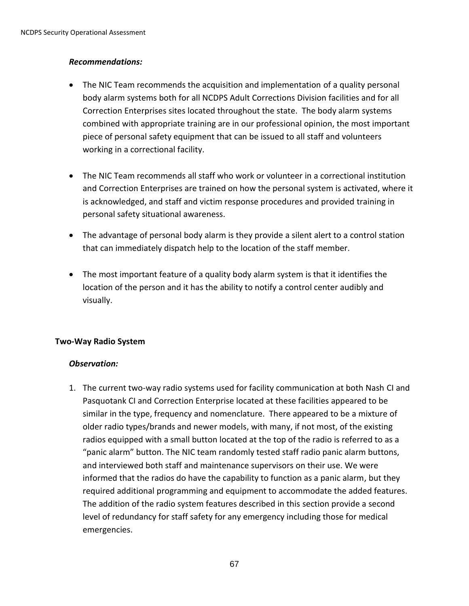## *Recommendations:*

- The NIC Team recommends the acquisition and implementation of a quality personal body alarm systems both for all NCDPS Adult Corrections Division facilities and for all Correction Enterprises sites located throughout the state. The body alarm systems combined with appropriate training are in our professional opinion, the most important piece of personal safety equipment that can be issued to all staff and volunteers working in a correctional facility.
- The NIC Team recommends all staff who work or volunteer in a correctional institution and Correction Enterprises are trained on how the personal system is activated, where it is acknowledged, and staff and victim response procedures and provided training in personal safety situational awareness.
- The advantage of personal body alarm is they provide a silent alert to a control station that can immediately dispatch help to the location of the staff member.
- The most important feature of a quality body alarm system is that it identifies the location of the person and it has the ability to notify a control center audibly and visually.

## **Two-Way Radio System**

## *Observation:*

1. The current two-way radio systems used for facility communication at both Nash CI and Pasquotank CI and Correction Enterprise located at these facilities appeared to be similar in the type, frequency and nomenclature. There appeared to be a mixture of older radio types/brands and newer models, with many, if not most, of the existing radios equipped with a small button located at the top of the radio is referred to as a "panic alarm" button. The NIC team randomly tested staff radio panic alarm buttons, and interviewed both staff and maintenance supervisors on their use. We were informed that the radios do have the capability to function as a panic alarm, but they required additional programming and equipment to accommodate the added features. The addition of the radio system features described in this section provide a second level of redundancy for staff safety for any emergency including those for medical emergencies.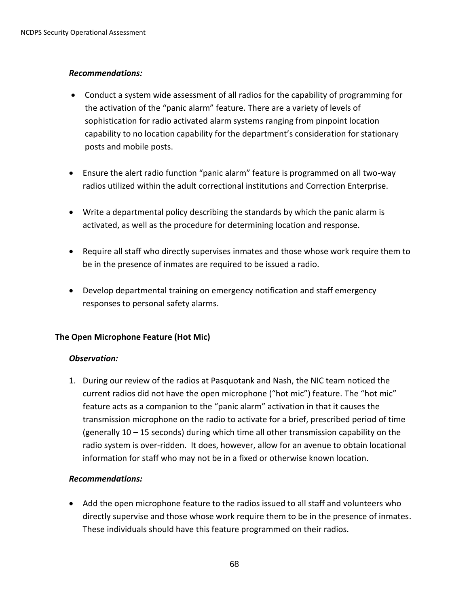#### *Recommendations:*

- Conduct a system wide assessment of all radios for the capability of programming for the activation of the "panic alarm" feature. There are a variety of levels of sophistication for radio activated alarm systems ranging from pinpoint location capability to no location capability for the department's consideration for stationary posts and mobile posts.
- Ensure the alert radio function "panic alarm" feature is programmed on all two-way radios utilized within the adult correctional institutions and Correction Enterprise.
- Write a departmental policy describing the standards by which the panic alarm is activated, as well as the procedure for determining location and response.
- Require all staff who directly supervises inmates and those whose work require them to be in the presence of inmates are required to be issued a radio.
- Develop departmental training on emergency notification and staff emergency responses to personal safety alarms.

#### **The Open Microphone Feature (Hot Mic)**

#### *Observation:*

1. During our review of the radios at Pasquotank and Nash, the NIC team noticed the current radios did not have the open microphone ("hot mic") feature. The "hot mic" feature acts as a companion to the "panic alarm" activation in that it causes the transmission microphone on the radio to activate for a brief, prescribed period of time (generally 10 – 15 seconds) during which time all other transmission capability on the radio system is over-ridden. It does, however, allow for an avenue to obtain locational information for staff who may not be in a fixed or otherwise known location.

#### *Recommendations:*

 Add the open microphone feature to the radios issued to all staff and volunteers who directly supervise and those whose work require them to be in the presence of inmates. These individuals should have this feature programmed on their radios.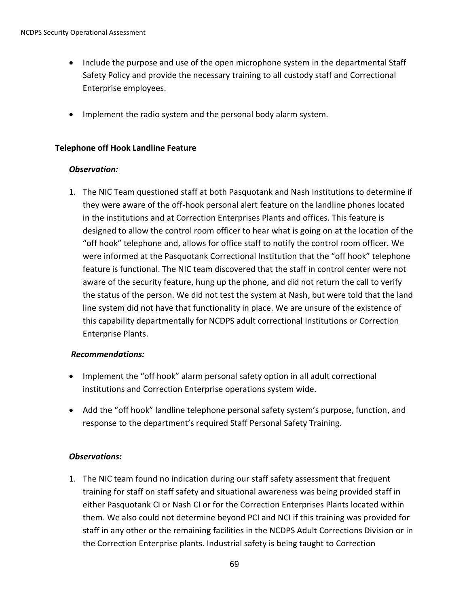- Include the purpose and use of the open microphone system in the departmental Staff Safety Policy and provide the necessary training to all custody staff and Correctional Enterprise employees.
- Implement the radio system and the personal body alarm system.

#### **Telephone off Hook Landline Feature**

#### *Observation:*

1. The NIC Team questioned staff at both Pasquotank and Nash Institutions to determine if they were aware of the off-hook personal alert feature on the landline phones located in the institutions and at Correction Enterprises Plants and offices. This feature is designed to allow the control room officer to hear what is going on at the location of the "off hook" telephone and, allows for office staff to notify the control room officer. We were informed at the Pasquotank Correctional Institution that the "off hook" telephone feature is functional. The NIC team discovered that the staff in control center were not aware of the security feature, hung up the phone, and did not return the call to verify the status of the person. We did not test the system at Nash, but were told that the land line system did not have that functionality in place. We are unsure of the existence of this capability departmentally for NCDPS adult correctional Institutions or Correction Enterprise Plants.

## *Recommendations:*

- Implement the "off hook" alarm personal safety option in all adult correctional institutions and Correction Enterprise operations system wide.
- Add the "off hook" landline telephone personal safety system's purpose, function, and response to the department's required Staff Personal Safety Training.

## *Observations:*

1. The NIC team found no indication during our staff safety assessment that frequent training for staff on staff safety and situational awareness was being provided staff in either Pasquotank CI or Nash CI or for the Correction Enterprises Plants located within them. We also could not determine beyond PCI and NCI if this training was provided for staff in any other or the remaining facilities in the NCDPS Adult Corrections Division or in the Correction Enterprise plants. Industrial safety is being taught to Correction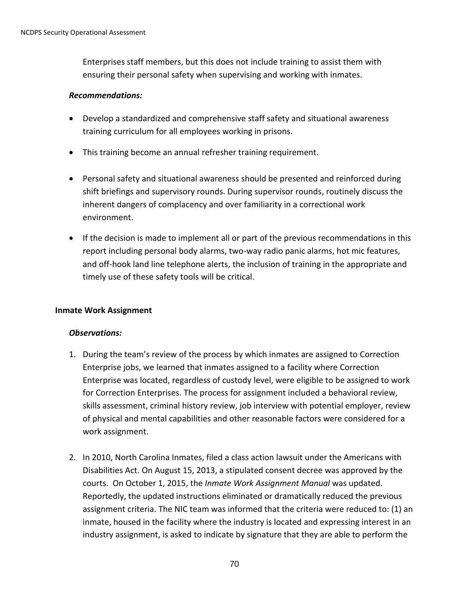Enterprises staff members, but this does not include training to assist them with ensuring their personal safety when supervising and working with inmates.

#### *Recommendations:*

- Develop a standardized and comprehensive staff safety and situational awareness training curriculum for all employees working in prisons.
- This training become an annual refresher training requirement.
- Personal safety and situational awareness should be presented and reinforced during shift briefings and supervisory rounds. During supervisor rounds, routinely discuss the inherent dangers of complacency and over familiarity in a correctional work environment.
- If the decision is made to implement all or part of the previous recommendations in this report including personal body alarms, two-way radio panic alarms, hot mic features, and off-hook land line telephone alerts, the inclusion of training in the appropriate and timely use of these safety tools will be critical.

## **Inmate Work Assignment**

- 1. During the team's review of the process by which inmates are assigned to Correction Enterprise jobs, we learned that inmates assigned to a facility where Correction Enterprise was located, regardless of custody level, were eligible to be assigned to work for Correction Enterprises. The process for assignment included a behavioral review, skills assessment, criminal history review, job interview with potential employer, review of physical and mental capabilities and other reasonable factors were considered for a work assignment.
- 2. In 2010, North Carolina Inmates, filed a class action lawsuit under the Americans with Disabilities Act. On August 15, 2013, a stipulated consent decree was approved by the courts. On October 1, 2015, the *Inmate Work Assignment Manual* was updated. Reportedly, the updated instructions eliminated or dramatically reduced the previous assignment criteria. The NIC team was informed that the criteria were reduced to: (1) an inmate, housed in the facility where the industry is located and expressing interest in an industry assignment, is asked to indicate by signature that they are able to perform the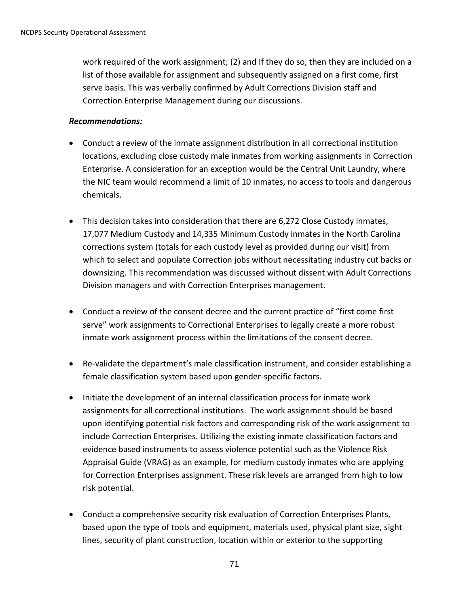work required of the work assignment; (2) and If they do so, then they are included on a list of those available for assignment and subsequently assigned on a first come, first serve basis. This was verbally confirmed by Adult Corrections Division staff and Correction Enterprise Management during our discussions.

#### *Recommendations:*

- Conduct a review of the inmate assignment distribution in all correctional institution locations, excluding close custody male inmates from working assignments in Correction Enterprise. A consideration for an exception would be the Central Unit Laundry, where the NIC team would recommend a limit of 10 inmates, no access to tools and dangerous chemicals.
- This decision takes into consideration that there are 6,272 Close Custody inmates, 17,077 Medium Custody and 14,335 Minimum Custody inmates in the North Carolina corrections system (totals for each custody level as provided during our visit) from which to select and populate Correction jobs without necessitating industry cut backs or downsizing. This recommendation was discussed without dissent with Adult Corrections Division managers and with Correction Enterprises management.
- Conduct a review of the consent decree and the current practice of "first come first serve" work assignments to Correctional Enterprises to legally create a more robust inmate work assignment process within the limitations of the consent decree.
- Re-validate the department's male classification instrument, and consider establishing a female classification system based upon gender-specific factors.
- Initiate the development of an internal classification process for inmate work assignments for all correctional institutions. The work assignment should be based upon identifying potential risk factors and corresponding risk of the work assignment to include Correction Enterprises. Utilizing the existing inmate classification factors and evidence based instruments to assess violence potential such as the Violence Risk Appraisal Guide (VRAG) as an example, for medium custody inmates who are applying for Correction Enterprises assignment. These risk levels are arranged from high to low risk potential.
- Conduct a comprehensive security risk evaluation of Correction Enterprises Plants, based upon the type of tools and equipment, materials used, physical plant size, sight lines, security of plant construction, location within or exterior to the supporting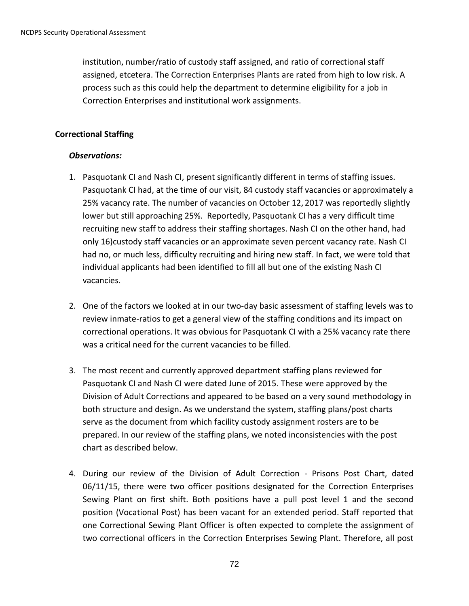institution, number/ratio of custody staff assigned, and ratio of correctional staff assigned, etcetera. The Correction Enterprises Plants are rated from high to low risk. A process such as this could help the department to determine eligibility for a job in Correction Enterprises and institutional work assignments.

#### **Correctional Staffing**

- 1. Pasquotank CI and Nash CI, present significantly different in terms of staffing issues. Pasquotank CI had, at the time of our visit, 84 custody staff vacancies or approximately a 25% vacancy rate. The number of vacancies on October 12, 2017 was reportedly slightly lower but still approaching 25%. Reportedly, Pasquotank CI has a very difficult time recruiting new staff to address their staffing shortages. Nash CI on the other hand, had only 16)custody staff vacancies or an approximate seven percent vacancy rate. Nash CI had no, or much less, difficulty recruiting and hiring new staff. In fact, we were told that individual applicants had been identified to fill all but one of the existing Nash CI vacancies.
- 2. One of the factors we looked at in our two-day basic assessment of staffing levels was to review inmate-ratios to get a general view of the staffing conditions and its impact on correctional operations. It was obvious for Pasquotank CI with a 25% vacancy rate there was a critical need for the current vacancies to be filled.
- 3. The most recent and currently approved department staffing plans reviewed for Pasquotank CI and Nash CI were dated June of 2015. These were approved by the Division of Adult Corrections and appeared to be based on a very sound methodology in both structure and design. As we understand the system, staffing plans/post charts serve as the document from which facility custody assignment rosters are to be prepared. In our review of the staffing plans, we noted inconsistencies with the post chart as described below.
- 4. During our review of the Division of Adult Correction Prisons Post Chart, dated 06/11/15, there were two officer positions designated for the Correction Enterprises Sewing Plant on first shift. Both positions have a pull post level 1 and the second position (Vocational Post) has been vacant for an extended period. Staff reported that one Correctional Sewing Plant Officer is often expected to complete the assignment of two correctional officers in the Correction Enterprises Sewing Plant. Therefore, all post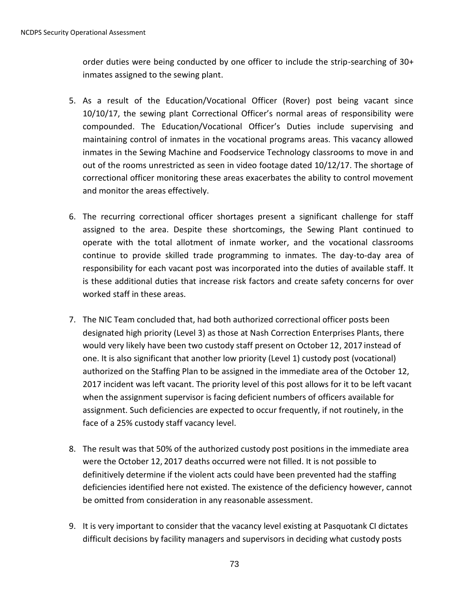order duties were being conducted by one officer to include the strip-searching of 30+ inmates assigned to the sewing plant.

- 5. As a result of the Education/Vocational Officer (Rover) post being vacant since 10/10/17, the sewing plant Correctional Officer's normal areas of responsibility were compounded. The Education/Vocational Officer's Duties include supervising and maintaining control of inmates in the vocational programs areas. This vacancy allowed inmates in the Sewing Machine and Foodservice Technology classrooms to move in and out of the rooms unrestricted as seen in video footage dated 10/12/17. The shortage of correctional officer monitoring these areas exacerbates the ability to control movement and monitor the areas effectively.
- 6. The recurring correctional officer shortages present a significant challenge for staff assigned to the area. Despite these shortcomings, the Sewing Plant continued to operate with the total allotment of inmate worker, and the vocational classrooms continue to provide skilled trade programming to inmates. The day-to-day area of responsibility for each vacant post was incorporated into the duties of available staff. It is these additional duties that increase risk factors and create safety concerns for over worked staff in these areas.
- 7. The NIC Team concluded that, had both authorized correctional officer posts been designated high priority (Level 3) as those at Nash Correction Enterprises Plants, there would very likely have been two custody staff present on October 12, 2017 instead of one. It is also significant that another low priority (Level 1) custody post (vocational) authorized on the Staffing Plan to be assigned in the immediate area of the October 12, 2017 incident was left vacant. The priority level of this post allows for it to be left vacant when the assignment supervisor is facing deficient numbers of officers available for assignment. Such deficiencies are expected to occur frequently, if not routinely, in the face of a 25% custody staff vacancy level.
- 8. The result was that 50% of the authorized custody post positions in the immediate area were the October 12, 2017 deaths occurred were not filled. It is not possible to definitively determine if the violent acts could have been prevented had the staffing deficiencies identified here not existed. The existence of the deficiency however, cannot be omitted from consideration in any reasonable assessment.
- 9. It is very important to consider that the vacancy level existing at Pasquotank CI dictates difficult decisions by facility managers and supervisors in deciding what custody posts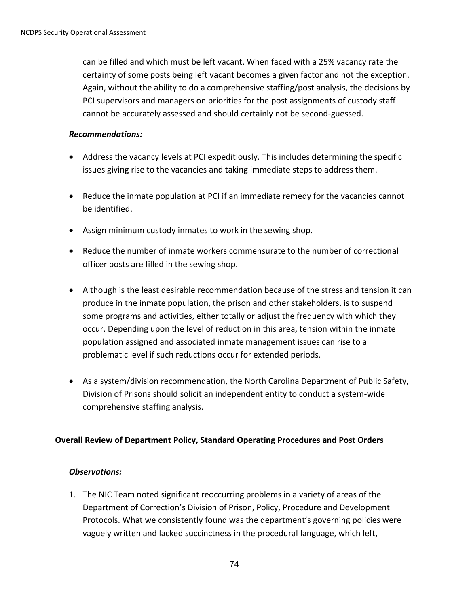can be filled and which must be left vacant. When faced with a 25% vacancy rate the certainty of some posts being left vacant becomes a given factor and not the exception. Again, without the ability to do a comprehensive staffing/post analysis, the decisions by PCI supervisors and managers on priorities for the post assignments of custody staff cannot be accurately assessed and should certainly not be second-guessed.

#### *Recommendations:*

- Address the vacancy levels at PCI expeditiously. This includes determining the specific issues giving rise to the vacancies and taking immediate steps to address them.
- Reduce the inmate population at PCI if an immediate remedy for the vacancies cannot be identified.
- Assign minimum custody inmates to work in the sewing shop.
- Reduce the number of inmate workers commensurate to the number of correctional officer posts are filled in the sewing shop.
- Although is the least desirable recommendation because of the stress and tension it can produce in the inmate population, the prison and other stakeholders, is to suspend some programs and activities, either totally or adjust the frequency with which they occur. Depending upon the level of reduction in this area, tension within the inmate population assigned and associated inmate management issues can rise to a problematic level if such reductions occur for extended periods.
- As a system/division recommendation, the North Carolina Department of Public Safety, Division of Prisons should solicit an independent entity to conduct a system-wide comprehensive staffing analysis.

## **Overall Review of Department Policy, Standard Operating Procedures and Post Orders**

## *Observations:*

1. The NIC Team noted significant reoccurring problems in a variety of areas of the Department of Correction's Division of Prison, Policy, Procedure and Development Protocols. What we consistently found was the department's governing policies were vaguely written and lacked succinctness in the procedural language, which left,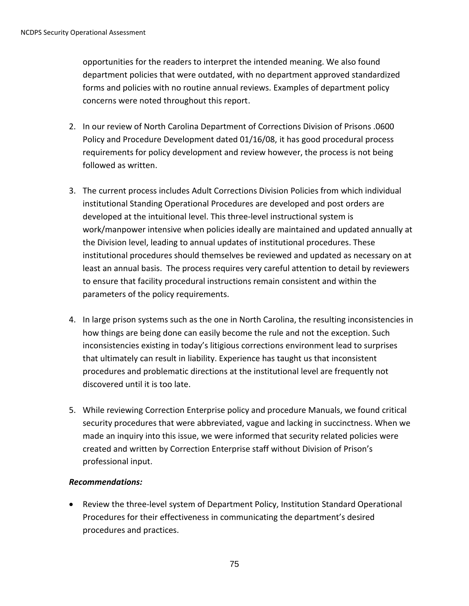opportunities for the readers to interpret the intended meaning. We also found department policies that were outdated, with no department approved standardized forms and policies with no routine annual reviews. Examples of department policy concerns were noted throughout this report.

- 2. In our review of North Carolina Department of Corrections Division of Prisons .0600 Policy and Procedure Development dated 01/16/08, it has good procedural process requirements for policy development and review however, the process is not being followed as written.
- 3. The current process includes Adult Corrections Division Policies from which individual institutional Standing Operational Procedures are developed and post orders are developed at the intuitional level. This three-level instructional system is work/manpower intensive when policies ideally are maintained and updated annually at the Division level, leading to annual updates of institutional procedures. These institutional procedures should themselves be reviewed and updated as necessary on at least an annual basis. The process requires very careful attention to detail by reviewers to ensure that facility procedural instructions remain consistent and within the parameters of the policy requirements.
- 4. In large prison systems such as the one in North Carolina, the resulting inconsistencies in how things are being done can easily become the rule and not the exception. Such inconsistencies existing in today's litigious corrections environment lead to surprises that ultimately can result in liability. Experience has taught us that inconsistent procedures and problematic directions at the institutional level are frequently not discovered until it is too late.
- 5. While reviewing Correction Enterprise policy and procedure Manuals, we found critical security procedures that were abbreviated, vague and lacking in succinctness. When we made an inquiry into this issue, we were informed that security related policies were created and written by Correction Enterprise staff without Division of Prison's professional input.

## *Recommendations:*

 Review the three-level system of Department Policy, Institution Standard Operational Procedures for their effectiveness in communicating the department's desired procedures and practices.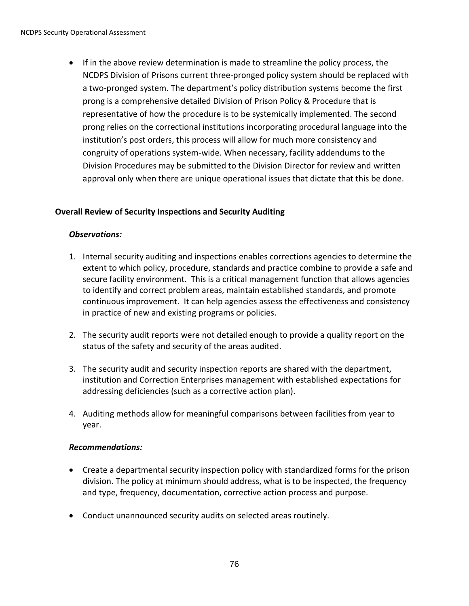If in the above review determination is made to streamline the policy process, the NCDPS Division of Prisons current three-pronged policy system should be replaced with a two-pronged system. The department's policy distribution systems become the first prong is a comprehensive detailed Division of Prison Policy & Procedure that is representative of how the procedure is to be systemically implemented. The second prong relies on the correctional institutions incorporating procedural language into the institution's post orders, this process will allow for much more consistency and congruity of operations system-wide. When necessary, facility addendums to the Division Procedures may be submitted to the Division Director for review and written approval only when there are unique operational issues that dictate that this be done.

## **Overall Review of Security Inspections and Security Auditing**

#### *Observations:*

- 1. Internal security auditing and inspections enables corrections agencies to determine the extent to which policy, procedure, standards and practice combine to provide a safe and secure facility environment. This is a critical management function that allows agencies to identify and correct problem areas, maintain established standards, and promote continuous improvement. It can help agencies assess the effectiveness and consistency in practice of new and existing programs or policies.
- 2. The security audit reports were not detailed enough to provide a quality report on the status of the safety and security of the areas audited.
- 3. The security audit and security inspection reports are shared with the department, institution and Correction Enterprises management with established expectations for addressing deficiencies (such as a corrective action plan).
- 4. Auditing methods allow for meaningful comparisons between facilities from year to year.

## *Recommendations:*

- Create a departmental security inspection policy with standardized forms for the prison division. The policy at minimum should address, what is to be inspected, the frequency and type, frequency, documentation, corrective action process and purpose.
- Conduct unannounced security audits on selected areas routinely.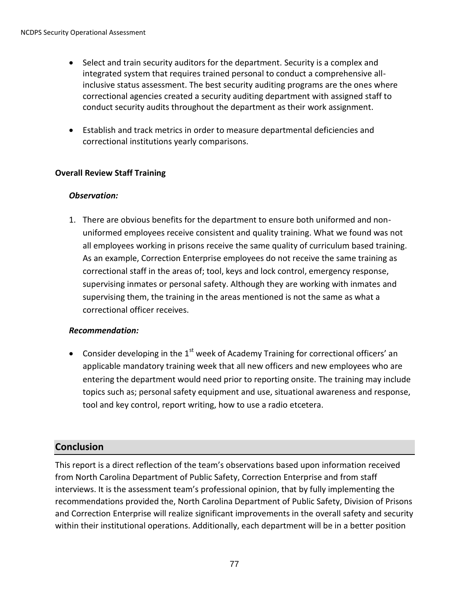- Select and train security auditors for the department. Security is a complex and integrated system that requires trained personal to conduct a comprehensive allinclusive status assessment. The best security auditing programs are the ones where correctional agencies created a security auditing department with assigned staff to conduct security audits throughout the department as their work assignment.
- Establish and track metrics in order to measure departmental deficiencies and correctional institutions yearly comparisons.

## **Overall Review Staff Training**

## *Observation:*

1. There are obvious benefits for the department to ensure both uniformed and nonuniformed employees receive consistent and quality training. What we found was not all employees working in prisons receive the same quality of curriculum based training. As an example, Correction Enterprise employees do not receive the same training as correctional staff in the areas of; tool, keys and lock control, emergency response, supervising inmates or personal safety. Although they are working with inmates and supervising them, the training in the areas mentioned is not the same as what a correctional officer receives.

## *Recommendation:*

• Consider developing in the  $1<sup>st</sup>$  week of Academy Training for correctional officers' an applicable mandatory training week that all new officers and new employees who are entering the department would need prior to reporting onsite. The training may include topics such as; personal safety equipment and use, situational awareness and response, tool and key control, report writing, how to use a radio etcetera.

# **Conclusion**

This report is a direct reflection of the team's observations based upon information received from North Carolina Department of Public Safety, Correction Enterprise and from staff interviews. It is the assessment team's professional opinion, that by fully implementing the recommendations provided the, North Carolina Department of Public Safety, Division of Prisons and Correction Enterprise will realize significant improvements in the overall safety and security within their institutional operations. Additionally, each department will be in a better position